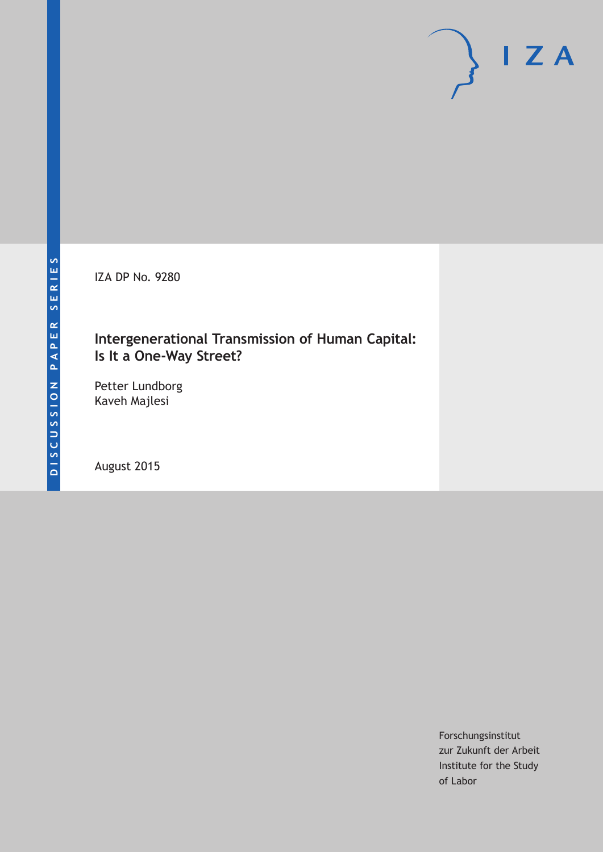IZA DP No. 9280

## **Intergenerational Transmission of Human Capital: Is It a One-Way Street?**

Petter Lundborg Kaveh Majlesi

August 2015

Forschungsinstitut zur Zukunft der Arbeit Institute for the Study of Labor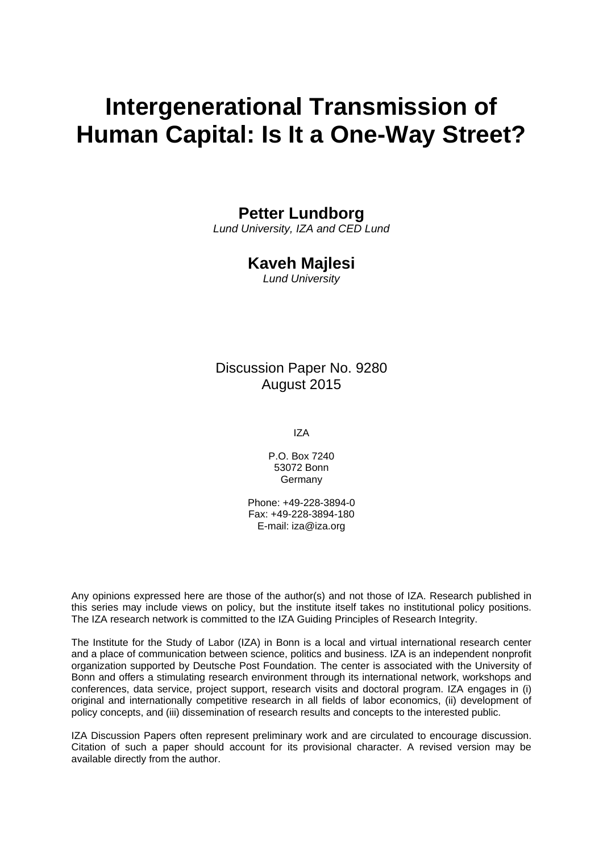# **Intergenerational Transmission of Human Capital: Is It a One-Way Street?**

## **Petter Lundborg**

*Lund University, IZA and CED Lund* 

## **Kaveh Majlesi**

*Lund University* 

## Discussion Paper No. 9280 August 2015

IZA

P.O. Box 7240 53072 Bonn Germany

Phone: +49-228-3894-0 Fax: +49-228-3894-180 E-mail: iza@iza.org

Any opinions expressed here are those of the author(s) and not those of IZA. Research published in this series may include views on policy, but the institute itself takes no institutional policy positions. The IZA research network is committed to the IZA Guiding Principles of Research Integrity.

The Institute for the Study of Labor (IZA) in Bonn is a local and virtual international research center and a place of communication between science, politics and business. IZA is an independent nonprofit organization supported by Deutsche Post Foundation. The center is associated with the University of Bonn and offers a stimulating research environment through its international network, workshops and conferences, data service, project support, research visits and doctoral program. IZA engages in (i) original and internationally competitive research in all fields of labor economics, (ii) development of policy concepts, and (iii) dissemination of research results and concepts to the interested public.

IZA Discussion Papers often represent preliminary work and are circulated to encourage discussion. Citation of such a paper should account for its provisional character. A revised version may be available directly from the author.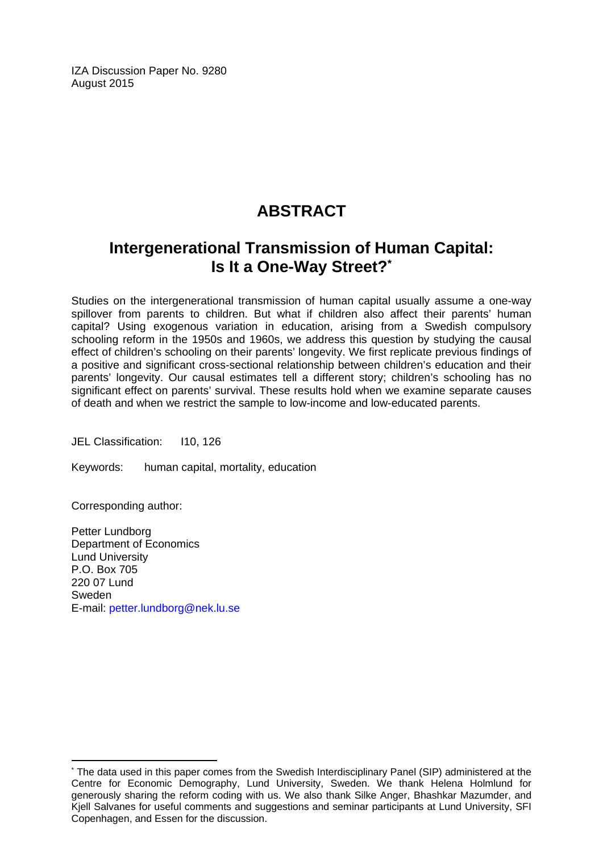IZA Discussion Paper No. 9280 August 2015

## **ABSTRACT**

## **Intergenerational Transmission of Human Capital: Is It a One-Way Street?\***

Studies on the intergenerational transmission of human capital usually assume a one-way spillover from parents to children. But what if children also affect their parents' human capital? Using exogenous variation in education, arising from a Swedish compulsory schooling reform in the 1950s and 1960s, we address this question by studying the causal effect of children's schooling on their parents' longevity. We first replicate previous findings of a positive and significant cross-sectional relationship between children's education and their parents' longevity. Our causal estimates tell a different story; children's schooling has no significant effect on parents' survival. These results hold when we examine separate causes of death and when we restrict the sample to low-income and low-educated parents.

JEL Classification: I10, 126

Keywords: human capital, mortality, education

Corresponding author:

 $\overline{a}$ 

Petter Lundborg Department of Economics Lund University P.O. Box 705 220 07 Lund Sweden E-mail: petter.lundborg@nek.lu.se

<sup>\*</sup> The data used in this paper comes from the Swedish Interdisciplinary Panel (SIP) administered at the Centre for Economic Demography, Lund University, Sweden. We thank Helena Holmlund for generously sharing the reform coding with us. We also thank Silke Anger, Bhashkar Mazumder, and Kjell Salvanes for useful comments and suggestions and seminar participants at Lund University, SFI Copenhagen, and Essen for the discussion.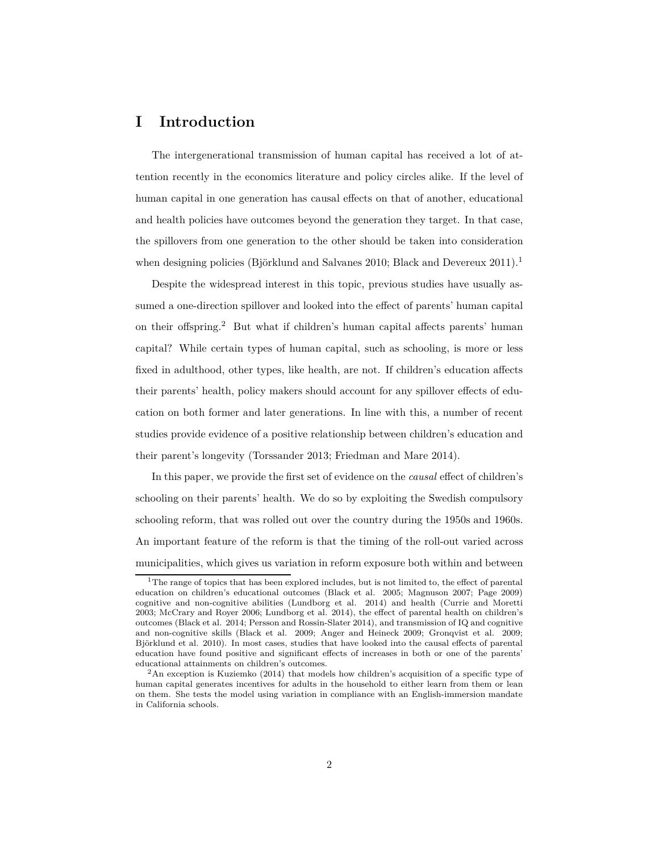### **I Introduction**

The intergenerational transmission of human capital has received a lot of attention recently in the economics literature and policy circles alike. If the level of human capital in one generation has causal effects on that of another, educational and health policies have outcomes beyond the generation they target. In that case, the spillovers from one generation to the other should be taken into consideration when designing policies (Björklund and Salvanes 2010; Black and Devereux 2011).<sup>1</sup>

Despite the widespread interest in this topic, previous studies have usually assumed a one-direction spillover and looked into the effect of parents' human capital on their offspring.<sup>2</sup> But what if children's human capital affects parents' human capital? While certain types of human capital, such as schooling, is more or less fixed in adulthood, other types, like health, are not. If children's education affects their parents' health, policy makers should account for any spillover effects of education on both former and later generations. In line with this, a number of recent studies provide evidence of a positive relationship between children's education and their parent's longevity (Torssander 2013; Friedman and Mare 2014).

In this paper, we provide the first set of evidence on the *causal* effect of children's schooling on their parents' health. We do so by exploiting the Swedish compulsory schooling reform, that was rolled out over the country during the 1950s and 1960s. An important feature of the reform is that the timing of the roll-out varied across municipalities, which gives us variation in reform exposure both within and between

<sup>&</sup>lt;sup>1</sup>The range of topics that has been explored includes, but is not limited to, the effect of parental education on children's educational outcomes (Black et al. 2005; Magnuson 2007; Page 2009) cognitive and non-cognitive abilities (Lundborg et al. 2014) and health (Currie and Moretti 2003; McCrary and Royer 2006; Lundborg et al. 2014), the effect of parental health on children's outcomes (Black et al. 2014; Persson and Rossin-Slater 2014), and transmission of IQ and cognitive and non-cognitive skills (Black et al. 2009; Anger and Heineck 2009; Gronqvist et al. 2009; Björklund et al. 2010). In most cases, studies that have looked into the causal effects of parental education have found positive and significant effects of increases in both or one of the parents' educational attainments on children's outcomes.

 $2\text{An exception is Kuziemko (2014) that models how children's acquisition of a specific type of }$ human capital generates incentives for adults in the household to either learn from them or lean on them. She tests the model using variation in compliance with an English-immersion mandate in California schools.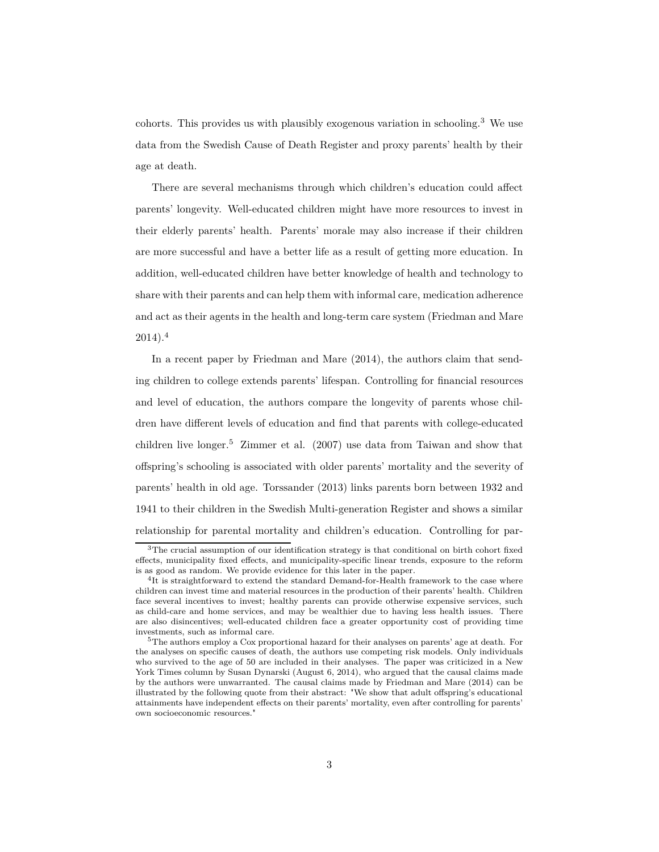cohorts. This provides us with plausibly exogenous variation in schooling.<sup>3</sup> We use data from the Swedish Cause of Death Register and proxy parents' health by their age at death.

There are several mechanisms through which children's education could affect parents' longevity. Well-educated children might have more resources to invest in their elderly parents' health. Parents' morale may also increase if their children are more successful and have a better life as a result of getting more education. In addition, well-educated children have better knowledge of health and technology to share with their parents and can help them with informal care, medication adherence and act as their agents in the health and long-term care system (Friedman and Mare  $2014$ ).<sup>4</sup>

In a recent paper by Friedman and Mare (2014), the authors claim that sending children to college extends parents' lifespan. Controlling for financial resources and level of education, the authors compare the longevity of parents whose children have different levels of education and find that parents with college-educated children live longer.<sup>5</sup> Zimmer et al.  $(2007)$  use data from Taiwan and show that offspring's schooling is associated with older parents' mortality and the severity of parents' health in old age. Torssander (2013) links parents born between 1932 and 1941 to their children in the Swedish Multi-generation Register and shows a similar relationship for parental mortality and children's education. Controlling for par-

<sup>&</sup>lt;sup>3</sup>The crucial assumption of our identification strategy is that conditional on birth cohort fixed effects, municipality fixed effects, and municipality-specific linear trends, exposure to the reform is as good as random. We provide evidence for this later in the paper.

<sup>&</sup>lt;sup>4</sup>It is straightforward to extend the standard Demand-for-Health framework to the case where children can invest time and material resources in the production of their parents' health. Children face several incentives to invest; healthy parents can provide otherwise expensive services, such as child-care and home services, and may be wealthier due to having less health issues. There are also disincentives; well-educated children face a greater opportunity cost of providing time investments, such as informal care.

<sup>5</sup>The authors employ a Cox proportional hazard for their analyses on parents' age at death. For the analyses on specific causes of death, the authors use competing risk models. Only individuals who survived to the age of 50 are included in their analyses. The paper was criticized in a New York Times column by Susan Dynarski (August 6, 2014), who argued that the causal claims made by the authors were unwarranted. The causal claims made by Friedman and Mare (2014) can be illustrated by the following quote from their abstract: "We show that adult offspring's educational attainments have independent effects on their parents' mortality, even after controlling for parents' own socioeconomic resources."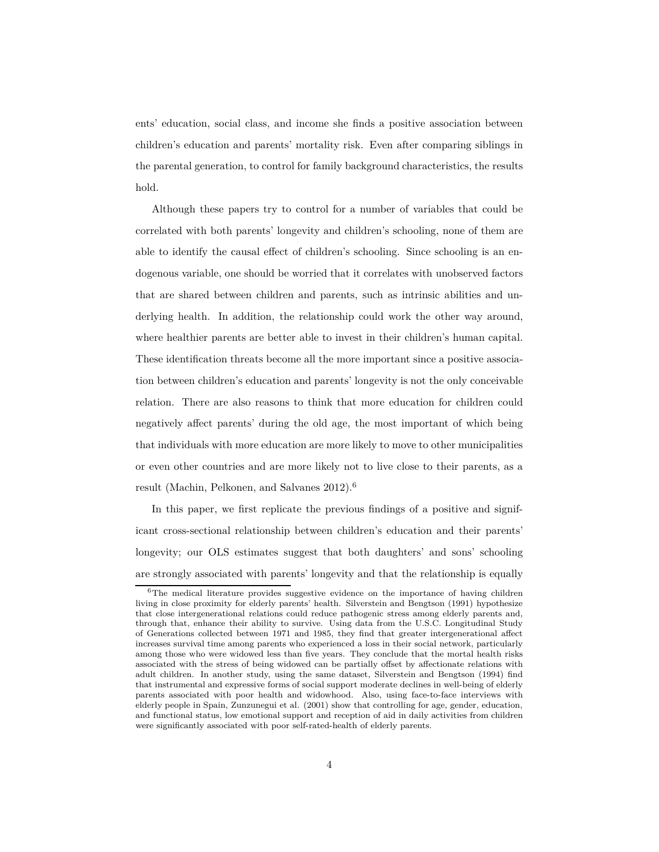ents' education, social class, and income she finds a positive association between children's education and parents' mortality risk. Even after comparing siblings in the parental generation, to control for family background characteristics, the results hold.

Although these papers try to control for a number of variables that could be correlated with both parents' longevity and children's schooling, none of them are able to identify the causal effect of children's schooling. Since schooling is an endogenous variable, one should be worried that it correlates with unobserved factors that are shared between children and parents, such as intrinsic abilities and underlying health. In addition, the relationship could work the other way around, where healthier parents are better able to invest in their children's human capital. These identification threats become all the more important since a positive association between children's education and parents' longevity is not the only conceivable relation. There are also reasons to think that more education for children could negatively affect parents' during the old age, the most important of which being that individuals with more education are more likely to move to other municipalities or even other countries and are more likely not to live close to their parents, as a result (Machin, Pelkonen, and Salvanes 2012).<sup>6</sup>

In this paper, we first replicate the previous findings of a positive and significant cross-sectional relationship between children's education and their parents' longevity; our OLS estimates suggest that both daughters' and sons' schooling are strongly associated with parents' longevity and that the relationship is equally

<sup>&</sup>lt;sup>6</sup>The medical literature provides suggestive evidence on the importance of having children living in close proximity for elderly parents' health. Silverstein and Bengtson (1991) hypothesize that close intergenerational relations could reduce pathogenic stress among elderly parents and, through that, enhance their ability to survive. Using data from the U.S.C. Longitudinal Study of Generations collected between 1971 and 1985, they find that greater intergenerational affect increases survival time among parents who experienced a loss in their social network, particularly among those who were widowed less than five years. They conclude that the mortal health risks associated with the stress of being widowed can be partially offset by affectionate relations with adult children. In another study, using the same dataset, Silverstein and Bengtson (1994) find that instrumental and expressive forms of social support moderate declines in well-being of elderly parents associated with poor health and widowhood. Also, using face-to-face interviews with elderly people in Spain, Zunzunegui et al. (2001) show that controlling for age, gender, education, and functional status, low emotional support and reception of aid in daily activities from children were significantly associated with poor self-rated-health of elderly parents.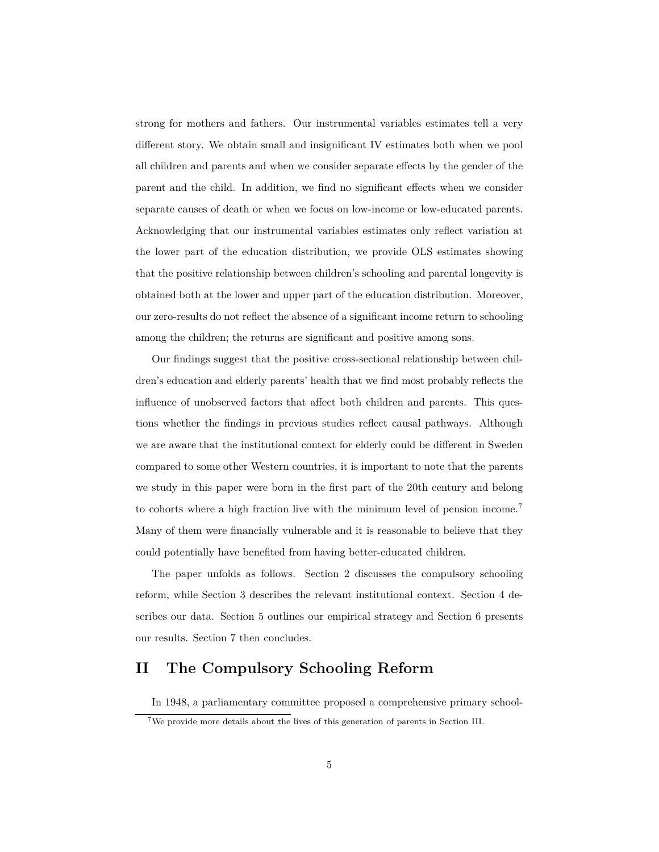strong for mothers and fathers. Our instrumental variables estimates tell a very different story. We obtain small and insignificant IV estimates both when we pool all children and parents and when we consider separate effects by the gender of the parent and the child. In addition, we find no significant effects when we consider separate causes of death or when we focus on low-income or low-educated parents. Acknowledging that our instrumental variables estimates only reflect variation at the lower part of the education distribution, we provide OLS estimates showing that the positive relationship between children's schooling and parental longevity is obtained both at the lower and upper part of the education distribution. Moreover, our zero-results do not reflect the absence of a significant income return to schooling among the children; the returns are significant and positive among sons.

Our findings suggest that the positive cross-sectional relationship between children's education and elderly parents' health that we find most probably reflects the influence of unobserved factors that affect both children and parents. This questions whether the findings in previous studies reflect causal pathways. Although we are aware that the institutional context for elderly could be different in Sweden compared to some other Western countries, it is important to note that the parents we study in this paper were born in the first part of the 20th century and belong to cohorts where a high fraction live with the minimum level of pension income.<sup>7</sup> Many of them were financially vulnerable and it is reasonable to believe that they could potentially have benefited from having better-educated children.

The paper unfolds as follows. Section 2 discusses the compulsory schooling reform, while Section 3 describes the relevant institutional context. Section 4 describes our data. Section 5 outlines our empirical strategy and Section 6 presents our results. Section 7 then concludes.

## **II The Compulsory Schooling Reform**

In 1948, a parliamentary committee proposed a comprehensive primary school-

<sup>7</sup>We provide more details about the lives of this generation of parents in Section III.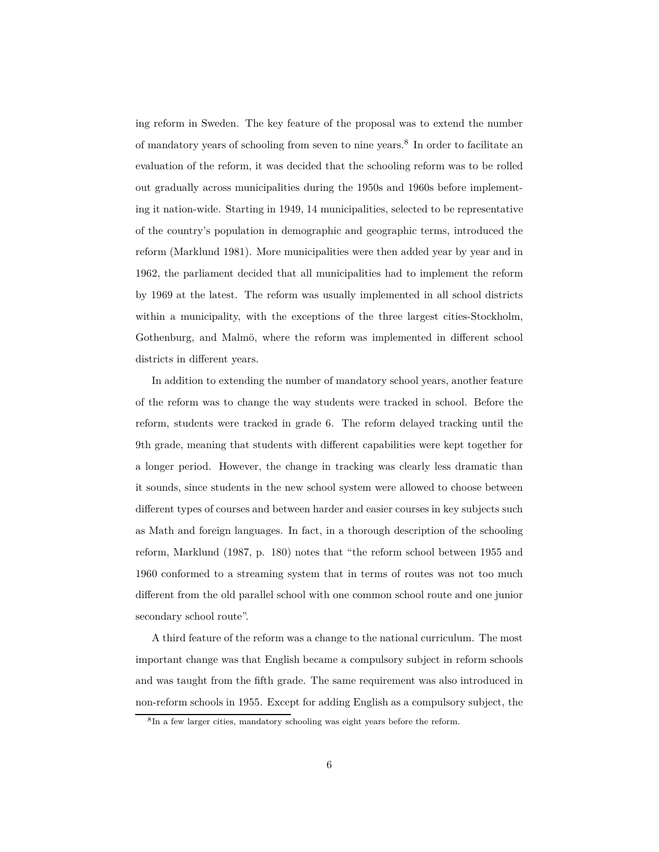ing reform in Sweden. The key feature of the proposal was to extend the number of mandatory years of schooling from seven to nine years.<sup>8</sup> In order to facilitate an evaluation of the reform, it was decided that the schooling reform was to be rolled out gradually across municipalities during the 1950s and 1960s before implementing it nation-wide. Starting in 1949, 14 municipalities, selected to be representative of the country's population in demographic and geographic terms, introduced the reform (Marklund 1981). More municipalities were then added year by year and in 1962, the parliament decided that all municipalities had to implement the reform by 1969 at the latest. The reform was usually implemented in all school districts within a municipality, with the exceptions of the three largest cities-Stockholm, Gothenburg, and Malmö, where the reform was implemented in different school districts in different years.

In addition to extending the number of mandatory school years, another feature of the reform was to change the way students were tracked in school. Before the reform, students were tracked in grade 6. The reform delayed tracking until the 9th grade, meaning that students with different capabilities were kept together for a longer period. However, the change in tracking was clearly less dramatic than it sounds, since students in the new school system were allowed to choose between different types of courses and between harder and easier courses in key subjects such as Math and foreign languages. In fact, in a thorough description of the schooling reform, Marklund (1987, p. 180) notes that "the reform school between 1955 and 1960 conformed to a streaming system that in terms of routes was not too much different from the old parallel school with one common school route and one junior secondary school route".

A third feature of the reform was a change to the national curriculum. The most important change was that English became a compulsory subject in reform schools and was taught from the fifth grade. The same requirement was also introduced in non-reform schools in 1955. Except for adding English as a compulsory subject, the

<sup>8</sup> In a few larger cities, mandatory schooling was eight years before the reform.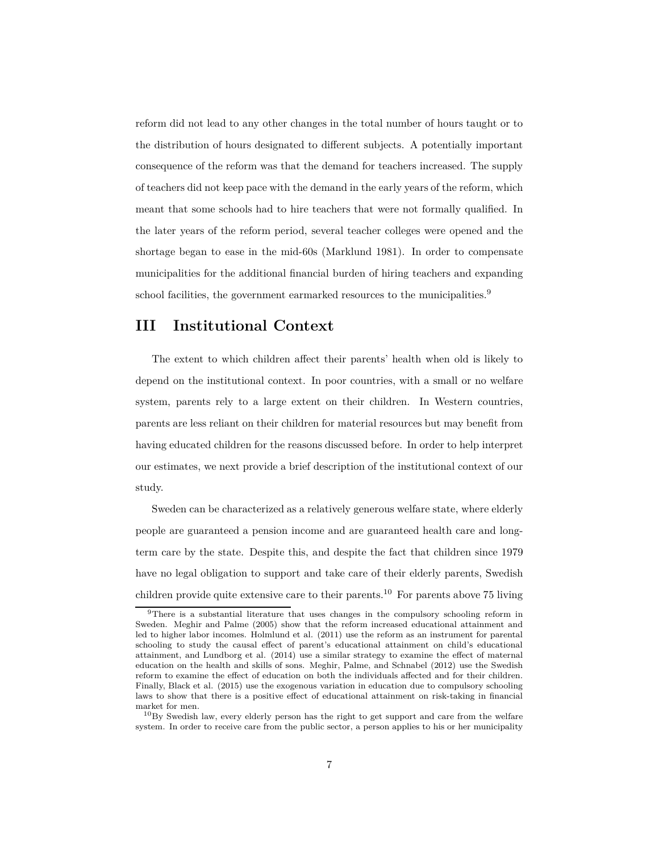reform did not lead to any other changes in the total number of hours taught or to the distribution of hours designated to different subjects. A potentially important consequence of the reform was that the demand for teachers increased. The supply of teachers did not keep pace with the demand in the early years of the reform, which meant that some schools had to hire teachers that were not formally qualified. In the later years of the reform period, several teacher colleges were opened and the shortage began to ease in the mid-60s (Marklund 1981). In order to compensate municipalities for the additional financial burden of hiring teachers and expanding school facilities, the government earmarked resources to the municipalities.<sup>9</sup>

### **III Institutional Context**

The extent to which children affect their parents' health when old is likely to depend on the institutional context. In poor countries, with a small or no welfare system, parents rely to a large extent on their children. In Western countries, parents are less reliant on their children for material resources but may benefit from having educated children for the reasons discussed before. In order to help interpret our estimates, we next provide a brief description of the institutional context of our study.

Sweden can be characterized as a relatively generous welfare state, where elderly people are guaranteed a pension income and are guaranteed health care and longterm care by the state. Despite this, and despite the fact that children since 1979 have no legal obligation to support and take care of their elderly parents, Swedish children provide quite extensive care to their parents.<sup>10</sup> For parents above 75 living

<sup>9</sup>There is a substantial literature that uses changes in the compulsory schooling reform in Sweden. Meghir and Palme (2005) show that the reform increased educational attainment and led to higher labor incomes. Holmlund et al. (2011) use the reform as an instrument for parental schooling to study the causal effect of parent's educational attainment on child's educational attainment, and Lundborg et al. (2014) use a similar strategy to examine the effect of maternal education on the health and skills of sons. Meghir, Palme, and Schnabel (2012) use the Swedish reform to examine the effect of education on both the individuals affected and for their children. Finally, Black et al. (2015) use the exogenous variation in education due to compulsory schooling laws to show that there is a positive effect of educational attainment on risk-taking in financial market for men.

 $10By$  Swedish law, every elderly person has the right to get support and care from the welfare system. In order to receive care from the public sector, a person applies to his or her municipality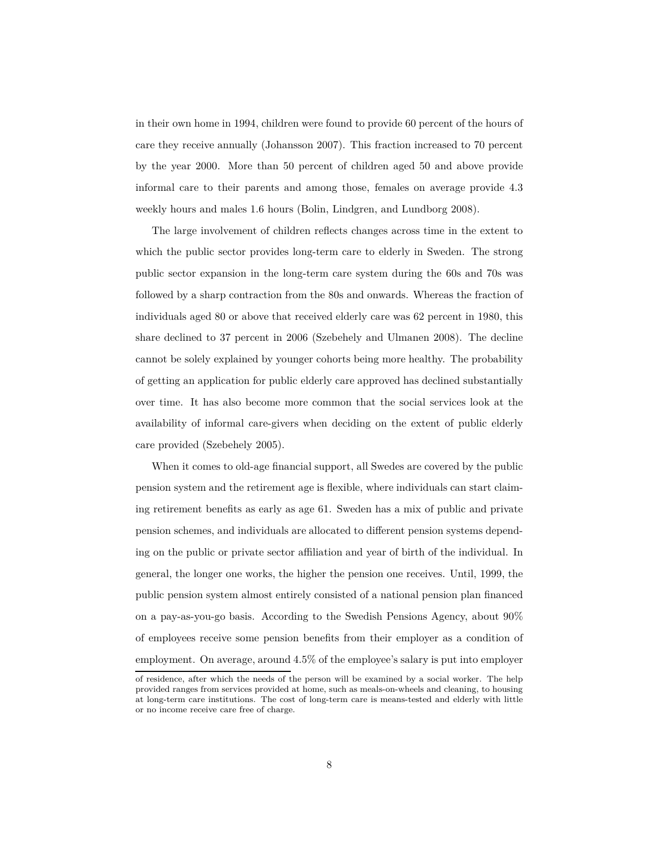in their own home in 1994, children were found to provide 60 percent of the hours of care they receive annually (Johansson 2007). This fraction increased to 70 percent by the year 2000. More than 50 percent of children aged 50 and above provide informal care to their parents and among those, females on average provide 4.3 weekly hours and males 1.6 hours (Bolin, Lindgren, and Lundborg 2008).

The large involvement of children reflects changes across time in the extent to which the public sector provides long-term care to elderly in Sweden. The strong public sector expansion in the long-term care system during the 60s and 70s was followed by a sharp contraction from the 80s and onwards. Whereas the fraction of individuals aged 80 or above that received elderly care was 62 percent in 1980, this share declined to 37 percent in 2006 (Szebehely and Ulmanen 2008). The decline cannot be solely explained by younger cohorts being more healthy. The probability of getting an application for public elderly care approved has declined substantially over time. It has also become more common that the social services look at the availability of informal care-givers when deciding on the extent of public elderly care provided (Szebehely 2005).

When it comes to old-age financial support, all Swedes are covered by the public pension system and the retirement age is flexible, where individuals can start claiming retirement benefits as early as age 61. Sweden has a mix of public and private pension schemes, and individuals are allocated to different pension systems depending on the public or private sector affiliation and year of birth of the individual. In general, the longer one works, the higher the pension one receives. Until, 1999, the public pension system almost entirely consisted of a national pension plan financed on a pay-as-you-go basis. According to the Swedish Pensions Agency, about 90% of employees receive some pension benefits from their employer as a condition of employment. On average, around 4.5% of the employee's salary is put into employer

of residence, after which the needs of the person will be examined by a social worker. The help provided ranges from services provided at home, such as meals-on-wheels and cleaning, to housing at long-term care institutions. The cost of long-term care is means-tested and elderly with little or no income receive care free of charge.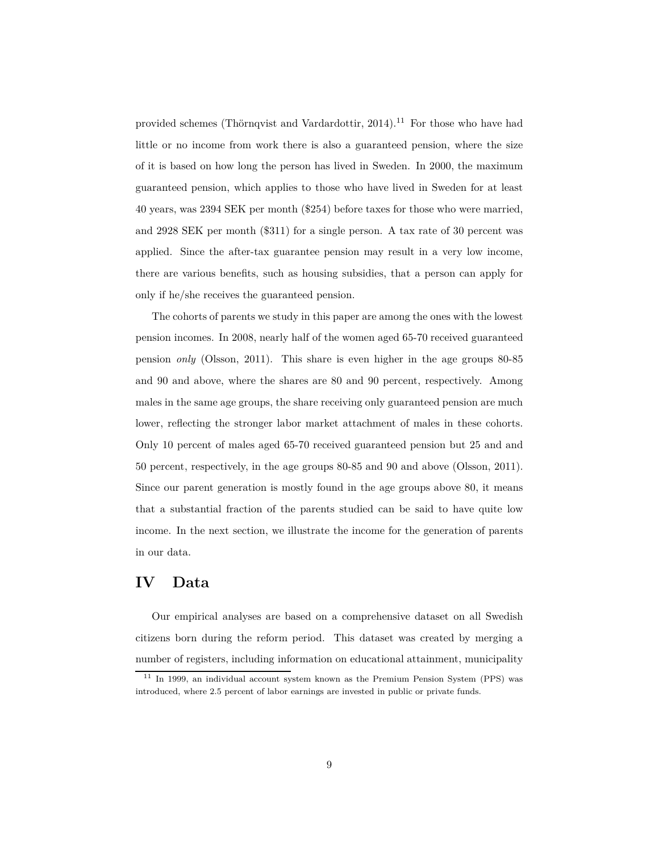provided schemes (Thörnqvist and Vardardottir,  $2014$ ).<sup>11</sup> For those who have had little or no income from work there is also a guaranteed pension, where the size of it is based on how long the person has lived in Sweden. In 2000, the maximum guaranteed pension, which applies to those who have lived in Sweden for at least 40 years, was 2394 SEK per month (\$254) before taxes for those who were married, and 2928 SEK per month (\$311) for a single person. A tax rate of 30 percent was applied. Since the after-tax guarantee pension may result in a very low income, there are various benefits, such as housing subsidies, that a person can apply for only if he/she receives the guaranteed pension.

The cohorts of parents we study in this paper are among the ones with the lowest pension incomes. In 2008, nearly half of the women aged 65-70 received guaranteed pension *only* (Olsson, 2011). This share is even higher in the age groups 80-85 and 90 and above, where the shares are 80 and 90 percent, respectively. Among males in the same age groups, the share receiving only guaranteed pension are much lower, reflecting the stronger labor market attachment of males in these cohorts. Only 10 percent of males aged 65-70 received guaranteed pension but 25 and and 50 percent, respectively, in the age groups 80-85 and 90 and above (Olsson, 2011). Since our parent generation is mostly found in the age groups above 80, it means that a substantial fraction of the parents studied can be said to have quite low income. In the next section, we illustrate the income for the generation of parents in our data.

### **IV Data**

Our empirical analyses are based on a comprehensive dataset on all Swedish citizens born during the reform period. This dataset was created by merging a number of registers, including information on educational attainment, municipality

 $11$  In 1999, an individual account system known as the Premium Pension System (PPS) was introduced, where 2.5 percent of labor earnings are invested in public or private funds.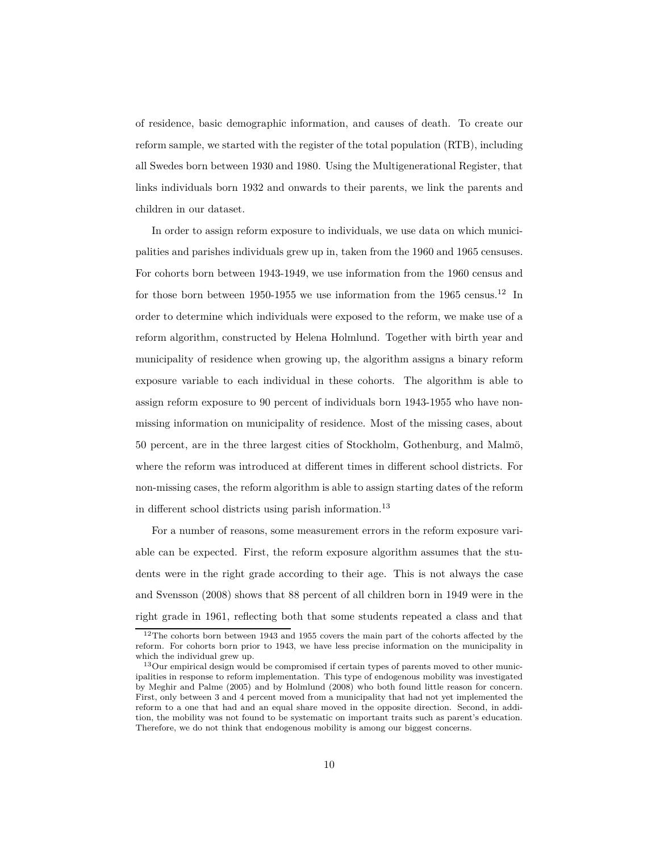of residence, basic demographic information, and causes of death. To create our reform sample, we started with the register of the total population (RTB), including all Swedes born between 1930 and 1980. Using the Multigenerational Register, that links individuals born 1932 and onwards to their parents, we link the parents and children in our dataset.

In order to assign reform exposure to individuals, we use data on which municipalities and parishes individuals grew up in, taken from the 1960 and 1965 censuses. For cohorts born between 1943-1949, we use information from the 1960 census and for those born between 1950-1955 we use information from the 1965 census.<sup>12</sup> In order to determine which individuals were exposed to the reform, we make use of a reform algorithm, constructed by Helena Holmlund. Together with birth year and municipality of residence when growing up, the algorithm assigns a binary reform exposure variable to each individual in these cohorts. The algorithm is able to assign reform exposure to 90 percent of individuals born 1943-1955 who have nonmissing information on municipality of residence. Most of the missing cases, about 50 percent, are in the three largest cities of Stockholm, Gothenburg, and Malmö, where the reform was introduced at different times in different school districts. For non-missing cases, the reform algorithm is able to assign starting dates of the reform in different school districts using parish information.<sup>13</sup>

For a number of reasons, some measurement errors in the reform exposure variable can be expected. First, the reform exposure algorithm assumes that the students were in the right grade according to their age. This is not always the case and Svensson (2008) shows that 88 percent of all children born in 1949 were in the right grade in 1961, reflecting both that some students repeated a class and that

 $12$ The cohorts born between 1943 and 1955 covers the main part of the cohorts affected by the reform. For cohorts born prior to 1943, we have less precise information on the municipality in which the individual grew up.

 $13$ Our empirical design would be compromised if certain types of parents moved to other municipalities in response to reform implementation. This type of endogenous mobility was investigated by Meghir and Palme (2005) and by Holmlund (2008) who both found little reason for concern. First, only between 3 and 4 percent moved from a municipality that had not yet implemented the reform to a one that had and an equal share moved in the opposite direction. Second, in addition, the mobility was not found to be systematic on important traits such as parent's education. Therefore, we do not think that endogenous mobility is among our biggest concerns.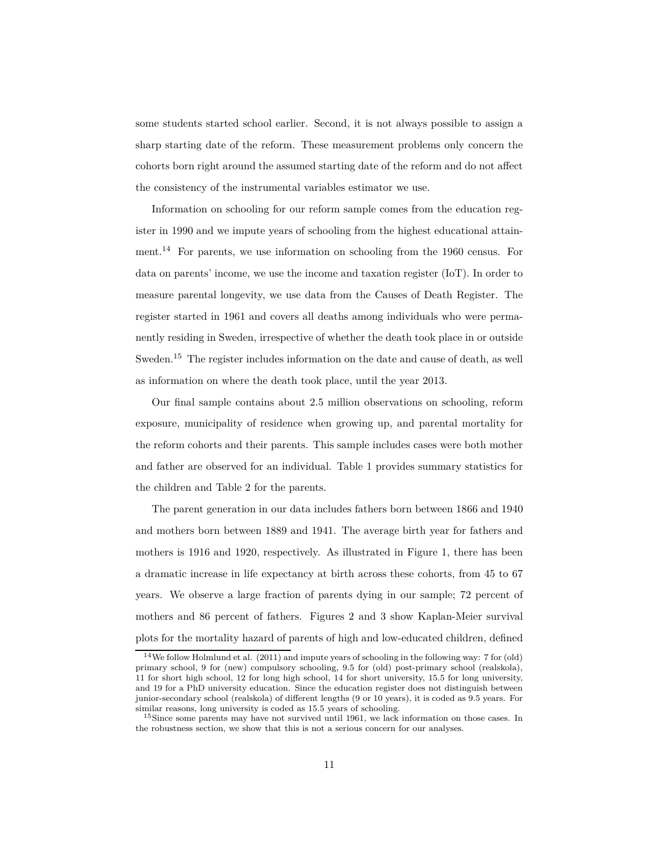some students started school earlier. Second, it is not always possible to assign a sharp starting date of the reform. These measurement problems only concern the cohorts born right around the assumed starting date of the reform and do not affect the consistency of the instrumental variables estimator we use.

Information on schooling for our reform sample comes from the education register in 1990 and we impute years of schooling from the highest educational attainment.<sup>14</sup> For parents, we use information on schooling from the 1960 census. For data on parents' income, we use the income and taxation register (IoT). In order to measure parental longevity, we use data from the Causes of Death Register. The register started in 1961 and covers all deaths among individuals who were permanently residing in Sweden, irrespective of whether the death took place in or outside Sweden.<sup>15</sup> The register includes information on the date and cause of death, as well as information on where the death took place, until the year 2013.

Our final sample contains about 2.5 million observations on schooling, reform exposure, municipality of residence when growing up, and parental mortality for the reform cohorts and their parents. This sample includes cases were both mother and father are observed for an individual. Table 1 provides summary statistics for the children and Table 2 for the parents.

The parent generation in our data includes fathers born between 1866 and 1940 and mothers born between 1889 and 1941. The average birth year for fathers and mothers is 1916 and 1920, respectively. As illustrated in Figure 1, there has been a dramatic increase in life expectancy at birth across these cohorts, from 45 to 67 years. We observe a large fraction of parents dying in our sample; 72 percent of mothers and 86 percent of fathers. Figures 2 and 3 show Kaplan-Meier survival plots for the mortality hazard of parents of high and low-educated children, defined

<sup>14</sup>We follow Holmlund et al. (2011) and impute years of schooling in the following way: 7 for (old) primary school, 9 for (new) compulsory schooling, 9.5 for (old) post-primary school (realskola), 11 for short high school, 12 for long high school, 14 for short university, 15.5 for long university, and 19 for a PhD university education. Since the education register does not distinguish between junior-secondary school (realskola) of different lengths (9 or 10 years), it is coded as 9.5 years. For similar reasons, long university is coded as 15.5 years of schooling.

<sup>15</sup>Since some parents may have not survived until 1961, we lack information on those cases. In the robustness section, we show that this is not a serious concern for our analyses.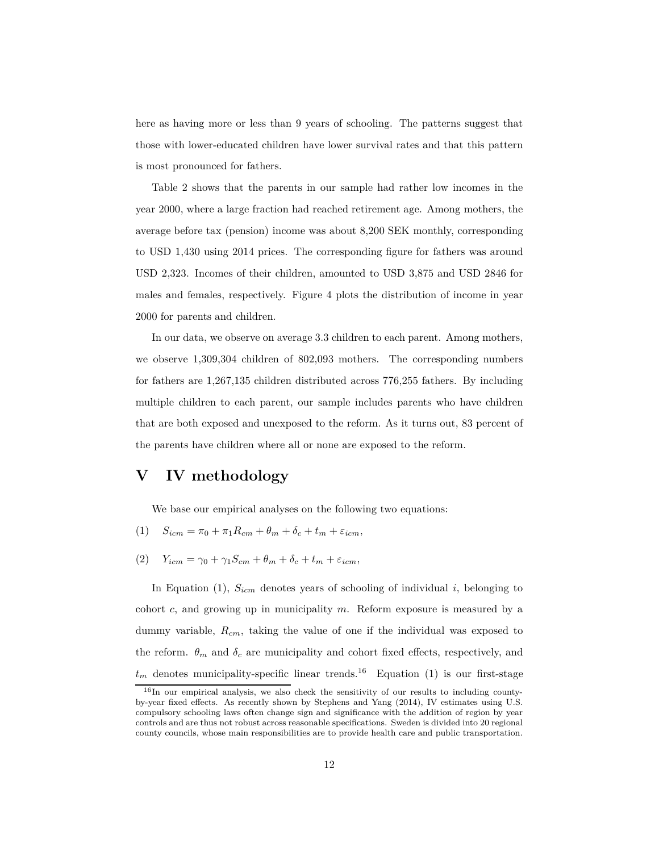here as having more or less than 9 years of schooling. The patterns suggest that those with lower-educated children have lower survival rates and that this pattern is most pronounced for fathers.

Table 2 shows that the parents in our sample had rather low incomes in the year 2000, where a large fraction had reached retirement age. Among mothers, the average before tax (pension) income was about 8,200 SEK monthly, corresponding to USD 1,430 using 2014 prices. The corresponding figure for fathers was around USD 2,323. Incomes of their children, amounted to USD 3,875 and USD 2846 for males and females, respectively. Figure 4 plots the distribution of income in year 2000 for parents and children.

In our data, we observe on average 3.3 children to each parent. Among mothers, we observe 1,309,304 children of 802,093 mothers. The corresponding numbers for fathers are 1,267,135 children distributed across 776,255 fathers. By including multiple children to each parent, our sample includes parents who have children that are both exposed and unexposed to the reform. As it turns out, 83 percent of the parents have children where all or none are exposed to the reform.

## **V IV methodology**

We base our empirical analyses on the following two equations:

- $(1)$   $S_{icm} = \pi_0 + \pi_1 R_{cm} + \theta_m + \delta_c + t_m + \varepsilon_{icm},$
- (2) *Yicm* = *γ*<sup>0</sup> + *γ*1*Scm* + *θ<sup>m</sup>* + *δ<sup>c</sup>* + *t<sup>m</sup>* + *εicm,*

In Equation (1), *Sicm* denotes years of schooling of individual *i*, belonging to cohort *c*, and growing up in municipality *m*. Reform exposure is measured by a dummy variable, *Rcm*, taking the value of one if the individual was exposed to the reform.  $\theta_m$  and  $\delta_c$  are municipality and cohort fixed effects, respectively, and  $t_m$  denotes municipality-specific linear trends.<sup>16</sup> Equation (1) is our first-stage

 $16$ In our empirical analysis, we also check the sensitivity of our results to including countyby-year fixed effects. As recently shown by Stephens and Yang (2014), IV estimates using U.S. compulsory schooling laws often change sign and significance with the addition of region by year controls and are thus not robust across reasonable specifications. Sweden is divided into 20 regional county councils, whose main responsibilities are to provide health care and public transportation.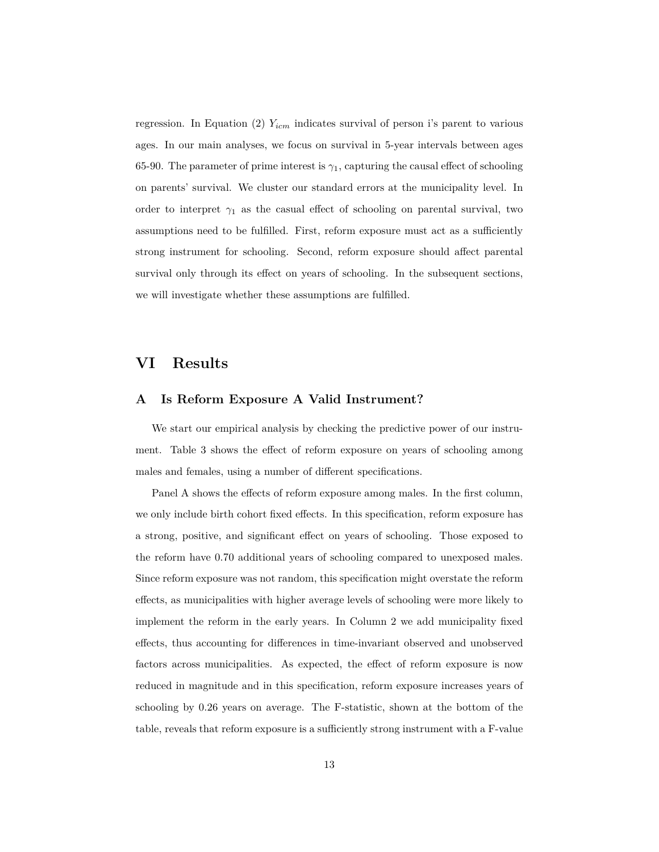regression. In Equation (2) *Yicm* indicates survival of person i's parent to various ages. In our main analyses, we focus on survival in 5-year intervals between ages 65-90. The parameter of prime interest is  $\gamma_1$ , capturing the causal effect of schooling on parents' survival. We cluster our standard errors at the municipality level. In order to interpret  $\gamma_1$  as the casual effect of schooling on parental survival, two assumptions need to be fulfilled. First, reform exposure must act as a sufficiently strong instrument for schooling. Second, reform exposure should affect parental survival only through its effect on years of schooling. In the subsequent sections, we will investigate whether these assumptions are fulfilled.

### **VI Results**

#### **A Is Reform Exposure A Valid Instrument?**

We start our empirical analysis by checking the predictive power of our instrument. Table 3 shows the effect of reform exposure on years of schooling among males and females, using a number of different specifications.

Panel A shows the effects of reform exposure among males. In the first column, we only include birth cohort fixed effects. In this specification, reform exposure has a strong, positive, and significant effect on years of schooling. Those exposed to the reform have 0.70 additional years of schooling compared to unexposed males. Since reform exposure was not random, this specification might overstate the reform effects, as municipalities with higher average levels of schooling were more likely to implement the reform in the early years. In Column 2 we add municipality fixed effects, thus accounting for differences in time-invariant observed and unobserved factors across municipalities. As expected, the effect of reform exposure is now reduced in magnitude and in this specification, reform exposure increases years of schooling by 0.26 years on average. The F-statistic, shown at the bottom of the table, reveals that reform exposure is a sufficiently strong instrument with a F-value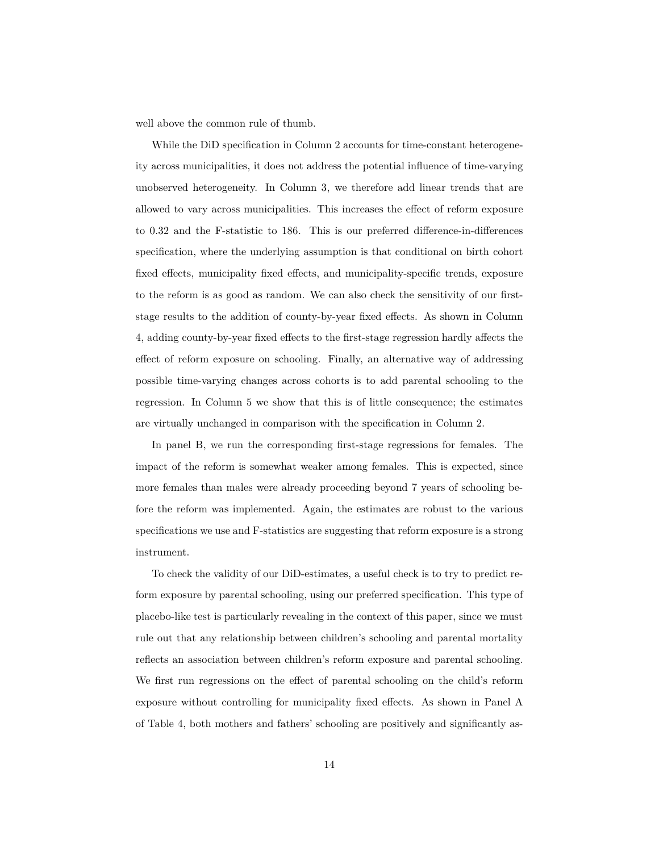well above the common rule of thumb.

While the DiD specification in Column 2 accounts for time-constant heterogeneity across municipalities, it does not address the potential influence of time-varying unobserved heterogeneity. In Column 3, we therefore add linear trends that are allowed to vary across municipalities. This increases the effect of reform exposure to 0.32 and the F-statistic to 186. This is our preferred difference-in-differences specification, where the underlying assumption is that conditional on birth cohort fixed effects, municipality fixed effects, and municipality-specific trends, exposure to the reform is as good as random. We can also check the sensitivity of our firststage results to the addition of county-by-year fixed effects. As shown in Column 4, adding county-by-year fixed effects to the first-stage regression hardly affects the effect of reform exposure on schooling. Finally, an alternative way of addressing possible time-varying changes across cohorts is to add parental schooling to the regression. In Column 5 we show that this is of little consequence; the estimates are virtually unchanged in comparison with the specification in Column 2.

In panel B, we run the corresponding first-stage regressions for females. The impact of the reform is somewhat weaker among females. This is expected, since more females than males were already proceeding beyond 7 years of schooling before the reform was implemented. Again, the estimates are robust to the various specifications we use and F-statistics are suggesting that reform exposure is a strong instrument.

To check the validity of our DiD-estimates, a useful check is to try to predict reform exposure by parental schooling, using our preferred specification. This type of placebo-like test is particularly revealing in the context of this paper, since we must rule out that any relationship between children's schooling and parental mortality reflects an association between children's reform exposure and parental schooling. We first run regressions on the effect of parental schooling on the child's reform exposure without controlling for municipality fixed effects. As shown in Panel A of Table 4, both mothers and fathers' schooling are positively and significantly as-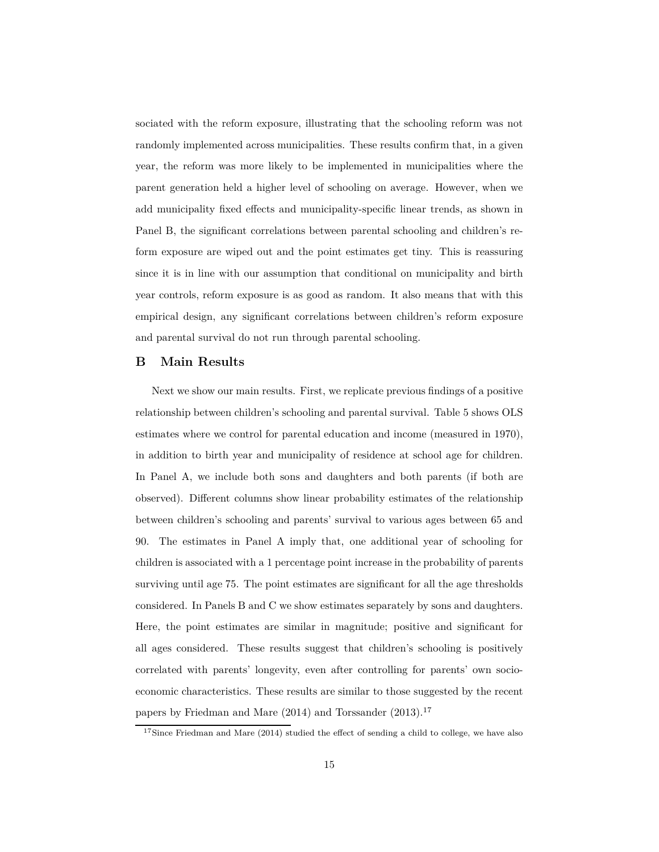sociated with the reform exposure, illustrating that the schooling reform was not randomly implemented across municipalities. These results confirm that, in a given year, the reform was more likely to be implemented in municipalities where the parent generation held a higher level of schooling on average. However, when we add municipality fixed effects and municipality-specific linear trends, as shown in Panel B, the significant correlations between parental schooling and children's reform exposure are wiped out and the point estimates get tiny. This is reassuring since it is in line with our assumption that conditional on municipality and birth year controls, reform exposure is as good as random. It also means that with this empirical design, any significant correlations between children's reform exposure and parental survival do not run through parental schooling.

#### **B Main Results**

Next we show our main results. First, we replicate previous findings of a positive relationship between children's schooling and parental survival. Table 5 shows OLS estimates where we control for parental education and income (measured in 1970), in addition to birth year and municipality of residence at school age for children. In Panel A, we include both sons and daughters and both parents (if both are observed). Different columns show linear probability estimates of the relationship between children's schooling and parents' survival to various ages between 65 and 90. The estimates in Panel A imply that, one additional year of schooling for children is associated with a 1 percentage point increase in the probability of parents surviving until age 75. The point estimates are significant for all the age thresholds considered. In Panels B and C we show estimates separately by sons and daughters. Here, the point estimates are similar in magnitude; positive and significant for all ages considered. These results suggest that children's schooling is positively correlated with parents' longevity, even after controlling for parents' own socioeconomic characteristics. These results are similar to those suggested by the recent papers by Friedman and Mare (2014) and Torssander (2013).<sup>17</sup>

 $17$ Since Friedman and Mare (2014) studied the effect of sending a child to college, we have also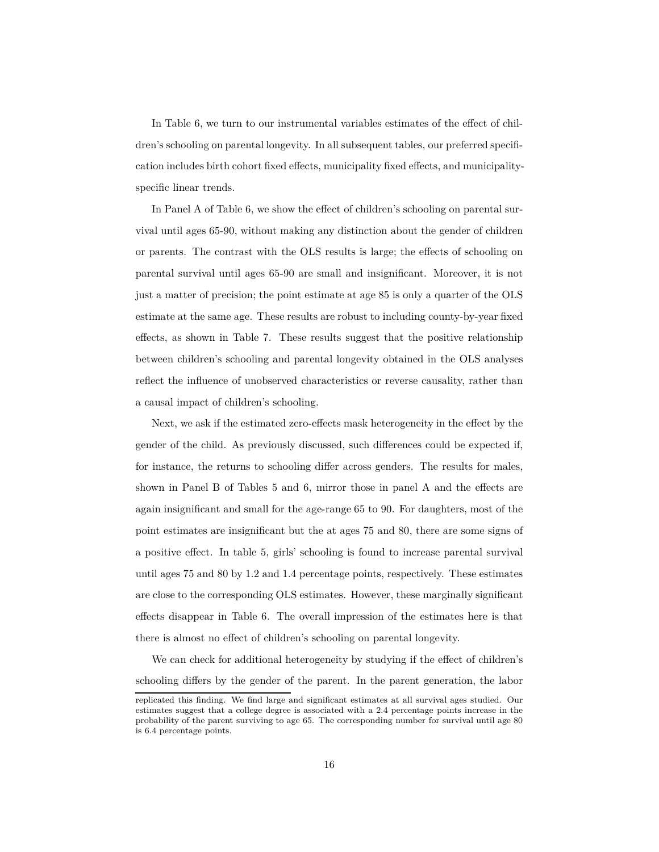In Table 6, we turn to our instrumental variables estimates of the effect of children's schooling on parental longevity. In all subsequent tables, our preferred specification includes birth cohort fixed effects, municipality fixed effects, and municipalityspecific linear trends.

In Panel A of Table 6, we show the effect of children's schooling on parental survival until ages 65-90, without making any distinction about the gender of children or parents. The contrast with the OLS results is large; the effects of schooling on parental survival until ages 65-90 are small and insignificant. Moreover, it is not just a matter of precision; the point estimate at age 85 is only a quarter of the OLS estimate at the same age. These results are robust to including county-by-year fixed effects, as shown in Table 7. These results suggest that the positive relationship between children's schooling and parental longevity obtained in the OLS analyses reflect the influence of unobserved characteristics or reverse causality, rather than a causal impact of children's schooling.

Next, we ask if the estimated zero-effects mask heterogeneity in the effect by the gender of the child. As previously discussed, such differences could be expected if, for instance, the returns to schooling differ across genders. The results for males, shown in Panel B of Tables 5 and 6, mirror those in panel A and the effects are again insignificant and small for the age-range 65 to 90. For daughters, most of the point estimates are insignificant but the at ages 75 and 80, there are some signs of a positive effect. In table 5, girls' schooling is found to increase parental survival until ages 75 and 80 by 1.2 and 1.4 percentage points, respectively. These estimates are close to the corresponding OLS estimates. However, these marginally significant effects disappear in Table 6. The overall impression of the estimates here is that there is almost no effect of children's schooling on parental longevity.

We can check for additional heterogeneity by studying if the effect of children's schooling differs by the gender of the parent. In the parent generation, the labor

replicated this finding. We find large and significant estimates at all survival ages studied. Our estimates suggest that a college degree is associated with a 2.4 percentage points increase in the probability of the parent surviving to age 65. The corresponding number for survival until age 80 is 6.4 percentage points.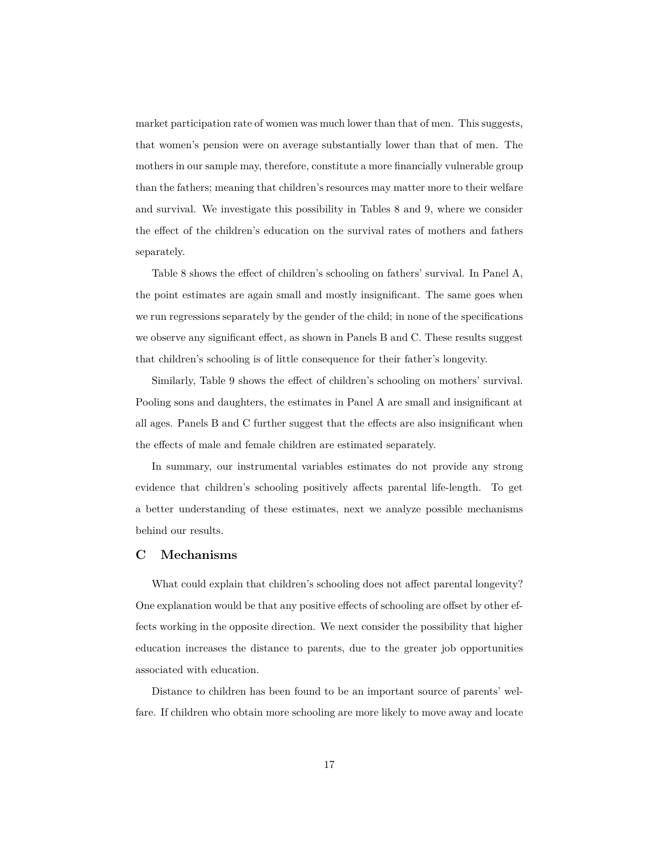market participation rate of women was much lower than that of men. This suggests, that women's pension were on average substantially lower than that of men. The mothers in our sample may, therefore, constitute a more financially vulnerable group than the fathers; meaning that children's resources may matter more to their welfare and survival. We investigate this possibility in Tables 8 and 9, where we consider the effect of the children's education on the survival rates of mothers and fathers separately.

Table 8 shows the effect of children's schooling on fathers' survival. In Panel A, the point estimates are again small and mostly insignificant. The same goes when we run regressions separately by the gender of the child; in none of the specifications we observe any significant effect, as shown in Panels B and C. These results suggest that children's schooling is of little consequence for their father's longevity.

Similarly, Table 9 shows the effect of children's schooling on mothers' survival. Pooling sons and daughters, the estimates in Panel A are small and insignificant at all ages. Panels B and C further suggest that the effects are also insignificant when the effects of male and female children are estimated separately.

In summary, our instrumental variables estimates do not provide any strong evidence that children's schooling positively affects parental life-length. To get a better understanding of these estimates, next we analyze possible mechanisms behind our results.

#### **C Mechanisms**

What could explain that children's schooling does not affect parental longevity? One explanation would be that any positive effects of schooling are offset by other effects working in the opposite direction. We next consider the possibility that higher education increases the distance to parents, due to the greater job opportunities associated with education.

Distance to children has been found to be an important source of parents' welfare. If children who obtain more schooling are more likely to move away and locate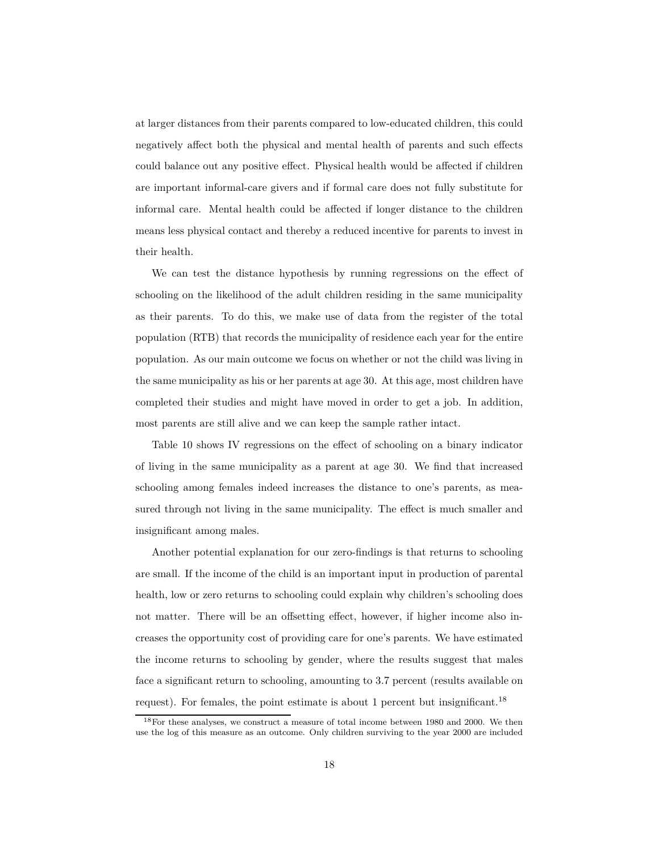at larger distances from their parents compared to low-educated children, this could negatively affect both the physical and mental health of parents and such effects could balance out any positive effect. Physical health would be affected if children are important informal-care givers and if formal care does not fully substitute for informal care. Mental health could be affected if longer distance to the children means less physical contact and thereby a reduced incentive for parents to invest in their health.

We can test the distance hypothesis by running regressions on the effect of schooling on the likelihood of the adult children residing in the same municipality as their parents. To do this, we make use of data from the register of the total population (RTB) that records the municipality of residence each year for the entire population. As our main outcome we focus on whether or not the child was living in the same municipality as his or her parents at age 30. At this age, most children have completed their studies and might have moved in order to get a job. In addition, most parents are still alive and we can keep the sample rather intact.

Table 10 shows IV regressions on the effect of schooling on a binary indicator of living in the same municipality as a parent at age 30. We find that increased schooling among females indeed increases the distance to one's parents, as measured through not living in the same municipality. The effect is much smaller and insignificant among males.

Another potential explanation for our zero-findings is that returns to schooling are small. If the income of the child is an important input in production of parental health, low or zero returns to schooling could explain why children's schooling does not matter. There will be an offsetting effect, however, if higher income also increases the opportunity cost of providing care for one's parents. We have estimated the income returns to schooling by gender, where the results suggest that males face a significant return to schooling, amounting to 3.7 percent (results available on request). For females, the point estimate is about 1 percent but insignificant.<sup>18</sup>

 $18$ For these analyses, we construct a measure of total income between 1980 and 2000. We then use the log of this measure as an outcome. Only children surviving to the year 2000 are included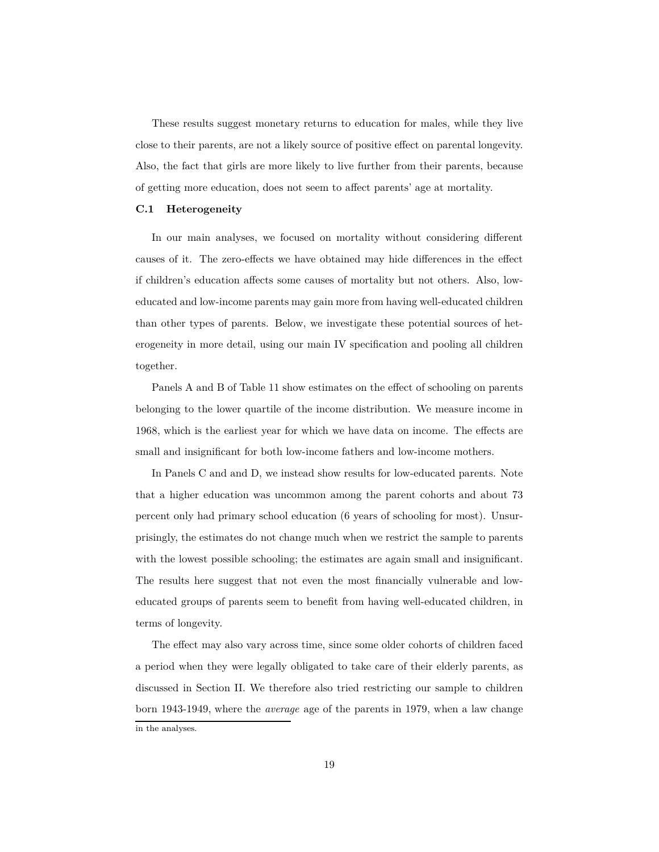These results suggest monetary returns to education for males, while they live close to their parents, are not a likely source of positive effect on parental longevity. Also, the fact that girls are more likely to live further from their parents, because of getting more education, does not seem to affect parents' age at mortality.

#### **C.1 Heterogeneity**

In our main analyses, we focused on mortality without considering different causes of it. The zero-effects we have obtained may hide differences in the effect if children's education affects some causes of mortality but not others. Also, loweducated and low-income parents may gain more from having well-educated children than other types of parents. Below, we investigate these potential sources of heterogeneity in more detail, using our main IV specification and pooling all children together.

Panels A and B of Table 11 show estimates on the effect of schooling on parents belonging to the lower quartile of the income distribution. We measure income in 1968, which is the earliest year for which we have data on income. The effects are small and insignificant for both low-income fathers and low-income mothers.

In Panels C and and D, we instead show results for low-educated parents. Note that a higher education was uncommon among the parent cohorts and about 73 percent only had primary school education (6 years of schooling for most). Unsurprisingly, the estimates do not change much when we restrict the sample to parents with the lowest possible schooling; the estimates are again small and insignificant. The results here suggest that not even the most financially vulnerable and loweducated groups of parents seem to benefit from having well-educated children, in terms of longevity.

The effect may also vary across time, since some older cohorts of children faced a period when they were legally obligated to take care of their elderly parents, as discussed in Section II. We therefore also tried restricting our sample to children born 1943-1949, where the *average* age of the parents in 1979, when a law change in the analyses.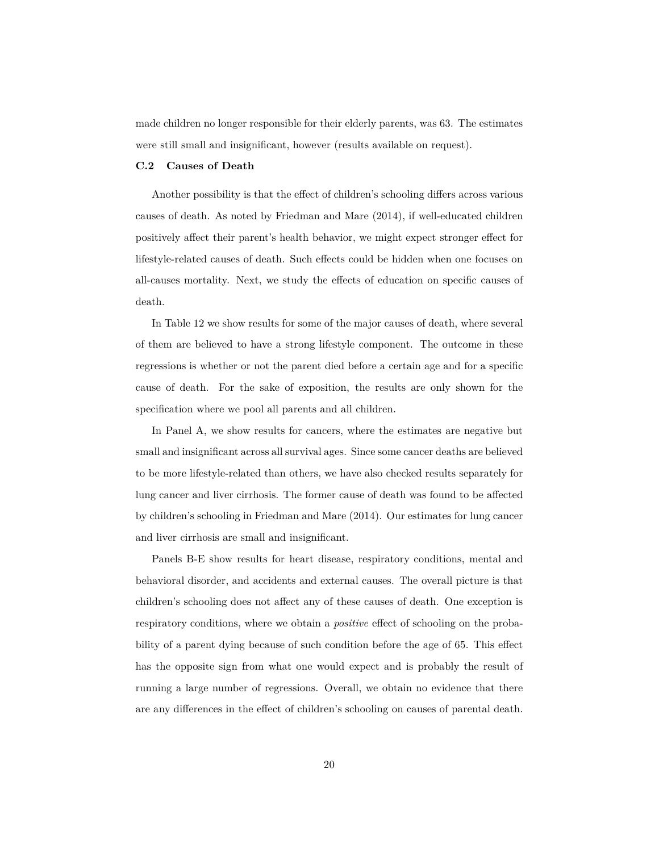made children no longer responsible for their elderly parents, was 63. The estimates were still small and insignificant, however (results available on request).

#### **C.2 Causes of Death**

Another possibility is that the effect of children's schooling differs across various causes of death. As noted by Friedman and Mare (2014), if well-educated children positively affect their parent's health behavior, we might expect stronger effect for lifestyle-related causes of death. Such effects could be hidden when one focuses on all-causes mortality. Next, we study the effects of education on specific causes of death.

In Table 12 we show results for some of the major causes of death, where several of them are believed to have a strong lifestyle component. The outcome in these regressions is whether or not the parent died before a certain age and for a specific cause of death. For the sake of exposition, the results are only shown for the specification where we pool all parents and all children.

In Panel A, we show results for cancers, where the estimates are negative but small and insignificant across all survival ages. Since some cancer deaths are believed to be more lifestyle-related than others, we have also checked results separately for lung cancer and liver cirrhosis. The former cause of death was found to be affected by children's schooling in Friedman and Mare (2014). Our estimates for lung cancer and liver cirrhosis are small and insignificant.

Panels B-E show results for heart disease, respiratory conditions, mental and behavioral disorder, and accidents and external causes. The overall picture is that children's schooling does not affect any of these causes of death. One exception is respiratory conditions, where we obtain a *positive* effect of schooling on the probability of a parent dying because of such condition before the age of 65. This effect has the opposite sign from what one would expect and is probably the result of running a large number of regressions. Overall, we obtain no evidence that there are any differences in the effect of children's schooling on causes of parental death.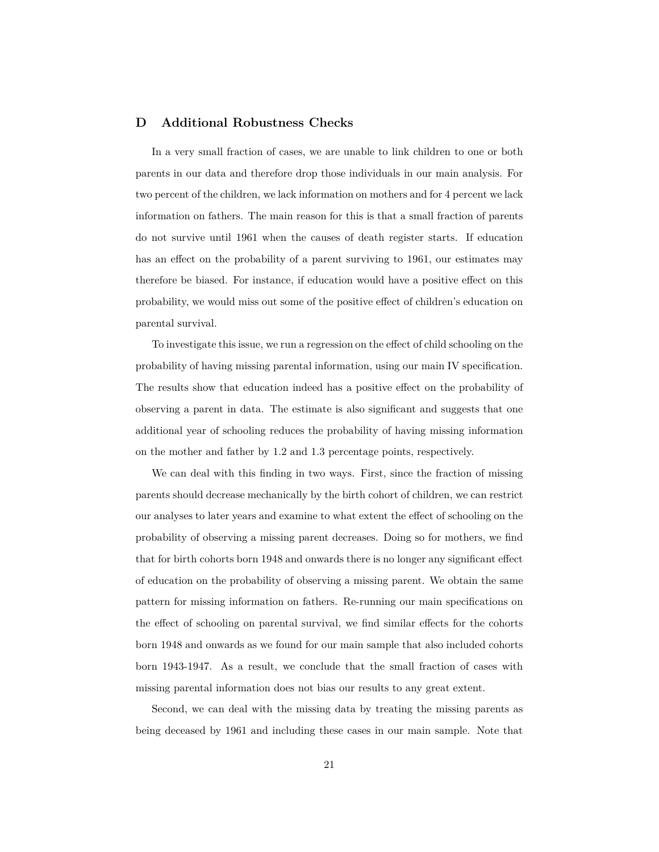#### **D Additional Robustness Checks**

In a very small fraction of cases, we are unable to link children to one or both parents in our data and therefore drop those individuals in our main analysis. For two percent of the children, we lack information on mothers and for 4 percent we lack information on fathers. The main reason for this is that a small fraction of parents do not survive until 1961 when the causes of death register starts. If education has an effect on the probability of a parent surviving to 1961, our estimates may therefore be biased. For instance, if education would have a positive effect on this probability, we would miss out some of the positive effect of children's education on parental survival.

To investigate this issue, we run a regression on the effect of child schooling on the probability of having missing parental information, using our main IV specification. The results show that education indeed has a positive effect on the probability of observing a parent in data. The estimate is also significant and suggests that one additional year of schooling reduces the probability of having missing information on the mother and father by 1.2 and 1.3 percentage points, respectively.

We can deal with this finding in two ways. First, since the fraction of missing parents should decrease mechanically by the birth cohort of children, we can restrict our analyses to later years and examine to what extent the effect of schooling on the probability of observing a missing parent decreases. Doing so for mothers, we find that for birth cohorts born 1948 and onwards there is no longer any significant effect of education on the probability of observing a missing parent. We obtain the same pattern for missing information on fathers. Re-running our main specifications on the effect of schooling on parental survival, we find similar effects for the cohorts born 1948 and onwards as we found for our main sample that also included cohorts born 1943-1947. As a result, we conclude that the small fraction of cases with missing parental information does not bias our results to any great extent.

Second, we can deal with the missing data by treating the missing parents as being deceased by 1961 and including these cases in our main sample. Note that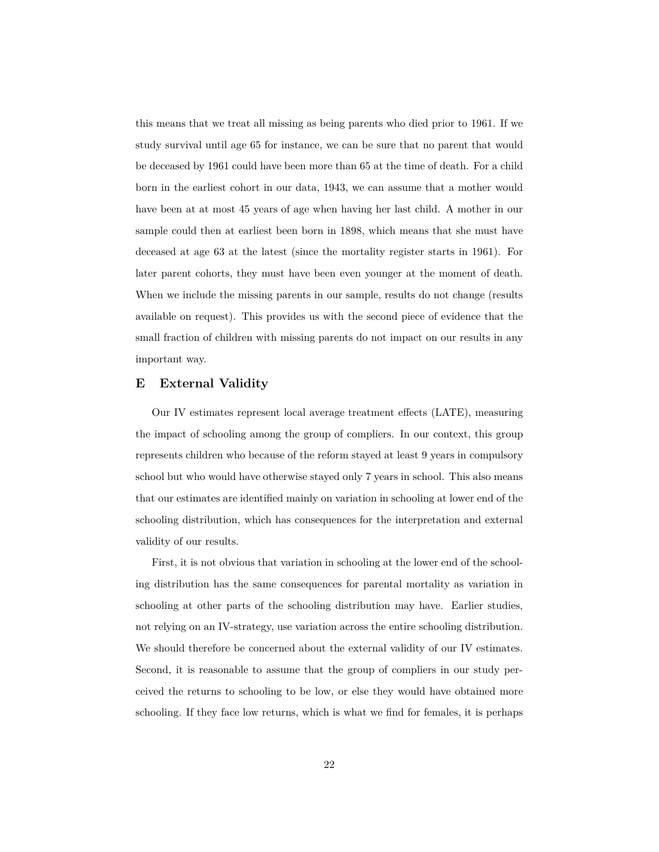this means that we treat all missing as being parents who died prior to 1961. If we study survival until age 65 for instance, we can be sure that no parent that would be deceased by 1961 could have been more than 65 at the time of death. For a child born in the earliest cohort in our data, 1943, we can assume that a mother would have been at at most 45 years of age when having her last child. A mother in our sample could then at earliest been born in 1898, which means that she must have deceased at age 63 at the latest (since the mortality register starts in 1961). For later parent cohorts, they must have been even younger at the moment of death. When we include the missing parents in our sample, results do not change (results available on request). This provides us with the second piece of evidence that the small fraction of children with missing parents do not impact on our results in any important way.

#### **E External Validity**

Our IV estimates represent local average treatment effects (LATE), measuring the impact of schooling among the group of compliers. In our context, this group represents children who because of the reform stayed at least 9 years in compulsory school but who would have otherwise stayed only 7 years in school. This also means that our estimates are identified mainly on variation in schooling at lower end of the schooling distribution, which has consequences for the interpretation and external validity of our results.

First, it is not obvious that variation in schooling at the lower end of the schooling distribution has the same consequences for parental mortality as variation in schooling at other parts of the schooling distribution may have. Earlier studies, not relying on an IV-strategy, use variation across the entire schooling distribution. We should therefore be concerned about the external validity of our IV estimates. Second, it is reasonable to assume that the group of compliers in our study perceived the returns to schooling to be low, or else they would have obtained more schooling. If they face low returns, which is what we find for females, it is perhaps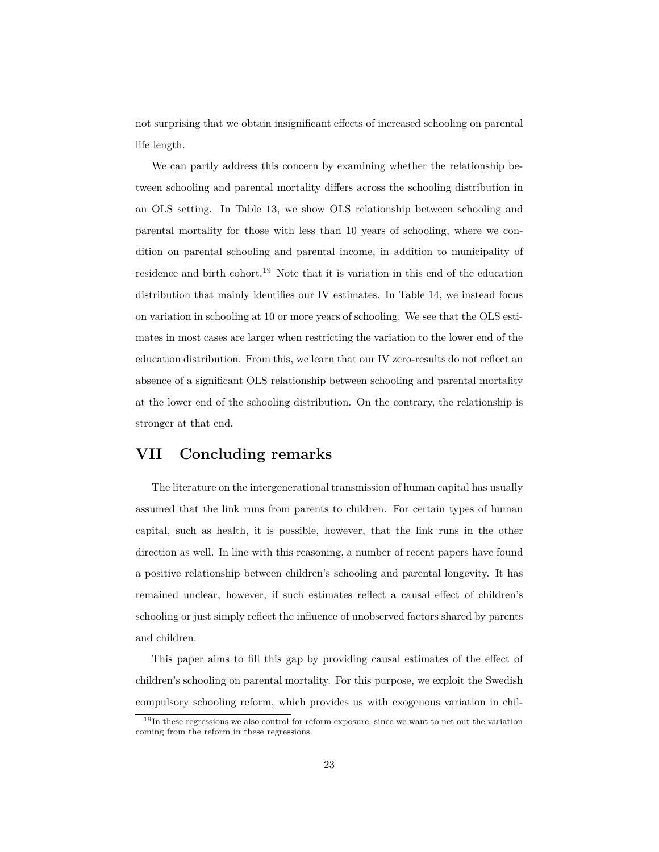not surprising that we obtain insignificant effects of increased schooling on parental life length.

We can partly address this concern by examining whether the relationship between schooling and parental mortality differs across the schooling distribution in an OLS setting. In Table 13, we show OLS relationship between schooling and parental mortality for those with less than 10 years of schooling, where we condition on parental schooling and parental income, in addition to municipality of residence and birth cohort.<sup>19</sup> Note that it is variation in this end of the education distribution that mainly identifies our IV estimates. In Table 14, we instead focus on variation in schooling at 10 or more years of schooling. We see that the OLS estimates in most cases are larger when restricting the variation to the lower end of the education distribution. From this, we learn that our IV zero-results do not reflect an absence of a significant OLS relationship between schooling and parental mortality at the lower end of the schooling distribution. On the contrary, the relationship is stronger at that end.

### **VII Concluding remarks**

The literature on the intergenerational transmission of human capital has usually assumed that the link runs from parents to children. For certain types of human capital, such as health, it is possible, however, that the link runs in the other direction as well. In line with this reasoning, a number of recent papers have found a positive relationship between children's schooling and parental longevity. It has remained unclear, however, if such estimates reflect a causal effect of children's schooling or just simply reflect the influence of unobserved factors shared by parents and children.

This paper aims to fill this gap by providing causal estimates of the effect of children's schooling on parental mortality. For this purpose, we exploit the Swedish compulsory schooling reform, which provides us with exogenous variation in chil-

<sup>&</sup>lt;sup>19</sup>In these regressions we also control for reform exposure, since we want to net out the variation coming from the reform in these regressions.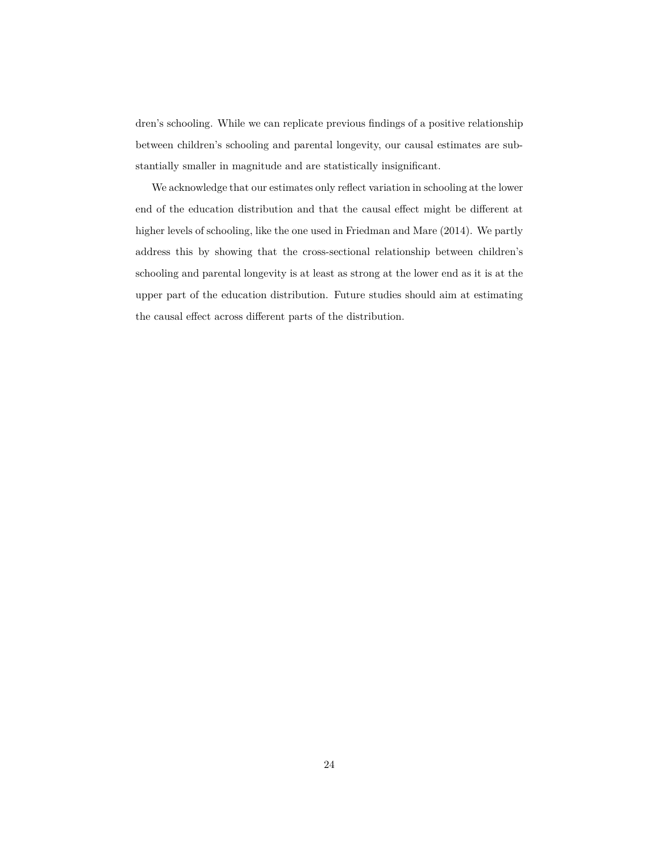dren's schooling. While we can replicate previous findings of a positive relationship between children's schooling and parental longevity, our causal estimates are substantially smaller in magnitude and are statistically insignificant.

We acknowledge that our estimates only reflect variation in schooling at the lower end of the education distribution and that the causal effect might be different at higher levels of schooling, like the one used in Friedman and Mare (2014). We partly address this by showing that the cross-sectional relationship between children's schooling and parental longevity is at least as strong at the lower end as it is at the upper part of the education distribution. Future studies should aim at estimating the causal effect across different parts of the distribution.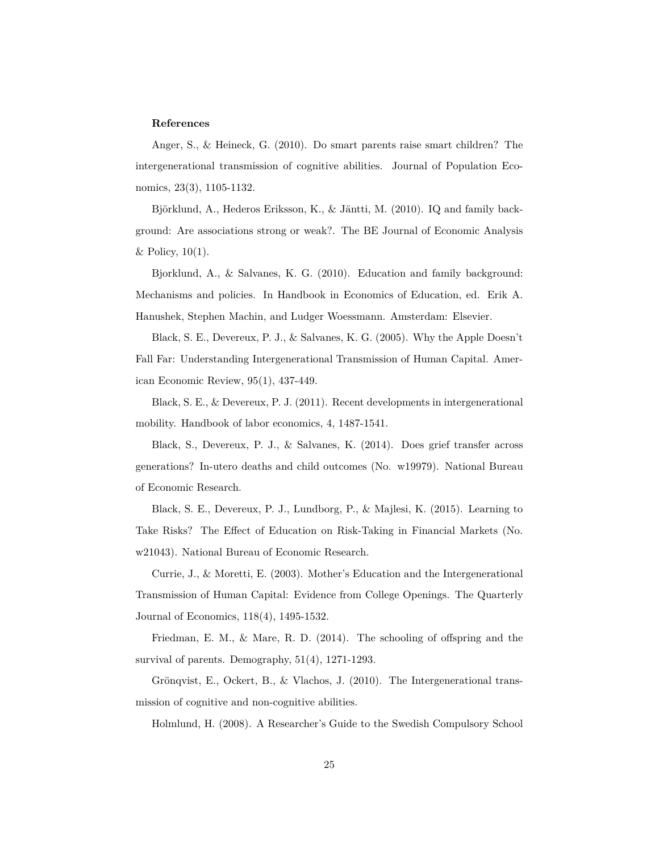#### **References**

Anger, S., & Heineck, G. (2010). Do smart parents raise smart children? The intergenerational transmission of cognitive abilities. Journal of Population Economics, 23(3), 1105-1132.

Björklund, A., Hederos Eriksson, K., & Jäntti, M. (2010). IQ and family background: Are associations strong or weak?. The BE Journal of Economic Analysis & Policy,  $10(1)$ .

Bjorklund, A., & Salvanes, K. G. (2010). Education and family background: Mechanisms and policies. In Handbook in Economics of Education, ed. Erik A. Hanushek, Stephen Machin, and Ludger Woessmann. Amsterdam: Elsevier.

Black, S. E., Devereux, P. J., & Salvanes, K. G. (2005). Why the Apple Doesn't Fall Far: Understanding Intergenerational Transmission of Human Capital. American Economic Review, 95(1), 437-449.

Black, S. E., & Devereux, P. J. (2011). Recent developments in intergenerational mobility. Handbook of labor economics, 4, 1487-1541.

Black, S., Devereux, P. J., & Salvanes, K. (2014). Does grief transfer across generations? In-utero deaths and child outcomes (No. w19979). National Bureau of Economic Research.

Black, S. E., Devereux, P. J., Lundborg, P., & Majlesi, K. (2015). Learning to Take Risks? The Effect of Education on Risk-Taking in Financial Markets (No. w21043). National Bureau of Economic Research.

Currie, J., & Moretti, E. (2003). Mother's Education and the Intergenerational Transmission of Human Capital: Evidence from College Openings. The Quarterly Journal of Economics, 118(4), 1495-1532.

Friedman, E. M., & Mare, R. D. (2014). The schooling of offspring and the survival of parents. Demography, 51(4), 1271-1293.

Grönqvist, E., Ockert, B., & Vlachos, J. (2010). The Intergenerational transmission of cognitive and non-cognitive abilities.

Holmlund, H. (2008). A Researcher's Guide to the Swedish Compulsory School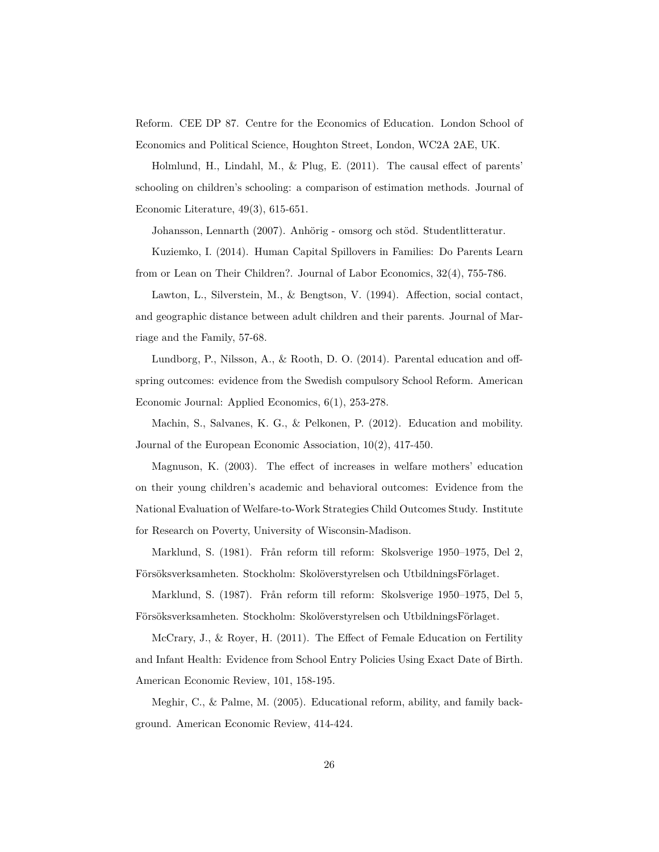Reform. CEE DP 87. Centre for the Economics of Education. London School of Economics and Political Science, Houghton Street, London, WC2A 2AE, UK.

Holmlund, H., Lindahl, M., & Plug, E. (2011). The causal effect of parents' schooling on children's schooling: a comparison of estimation methods. Journal of Economic Literature, 49(3), 615-651.

Johansson, Lennarth (2007). Anhörig - omsorg och stöd. Studentlitteratur.

Kuziemko, I. (2014). Human Capital Spillovers in Families: Do Parents Learn from or Lean on Their Children?. Journal of Labor Economics, 32(4), 755-786.

Lawton, L., Silverstein, M., & Bengtson, V. (1994). Affection, social contact, and geographic distance between adult children and their parents. Journal of Marriage and the Family, 57-68.

Lundborg, P., Nilsson, A., & Rooth, D. O. (2014). Parental education and offspring outcomes: evidence from the Swedish compulsory School Reform. American Economic Journal: Applied Economics, 6(1), 253-278.

Machin, S., Salvanes, K. G., & Pelkonen, P. (2012). Education and mobility. Journal of the European Economic Association, 10(2), 417-450.

Magnuson, K. (2003). The effect of increases in welfare mothers' education on their young children's academic and behavioral outcomes: Evidence from the National Evaluation of Welfare-to-Work Strategies Child Outcomes Study. Institute for Research on Poverty, University of Wisconsin-Madison.

Marklund, S. (1981). Från reform till reform: Skolsverige 1950–1975, Del 2, Försöksverksamheten. Stockholm: Skolöverstyrelsen och UtbildningsFörlaget.

Marklund, S. (1987). Från reform till reform: Skolsverige 1950–1975, Del 5, Försöksverksamheten. Stockholm: Skolöverstyrelsen och UtbildningsFörlaget.

McCrary, J., & Royer, H. (2011). The Effect of Female Education on Fertility and Infant Health: Evidence from School Entry Policies Using Exact Date of Birth. American Economic Review, 101, 158-195.

Meghir, C., & Palme, M. (2005). Educational reform, ability, and family background. American Economic Review, 414-424.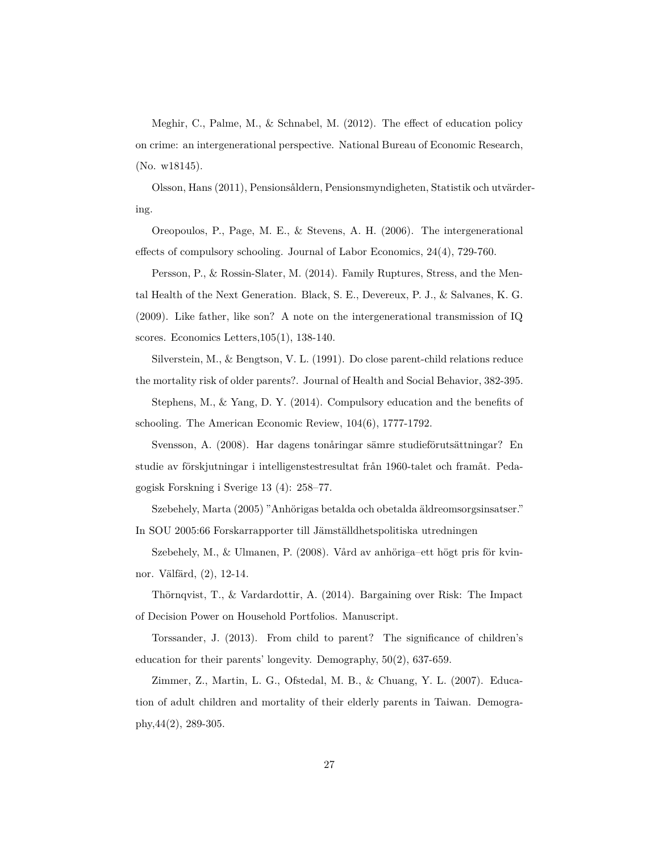Meghir, C., Palme, M., & Schnabel, M. (2012). The effect of education policy on crime: an intergenerational perspective. National Bureau of Economic Research, (No. w18145).

Olsson, Hans (2011), Pensionsåldern, Pensionsmyndigheten, Statistik och utvärdering.

Oreopoulos, P., Page, M. E., & Stevens, A. H. (2006). The intergenerational effects of compulsory schooling. Journal of Labor Economics, 24(4), 729-760.

Persson, P., & Rossin-Slater, M. (2014). Family Ruptures, Stress, and the Mental Health of the Next Generation. Black, S. E., Devereux, P. J., & Salvanes, K. G. (2009). Like father, like son? A note on the intergenerational transmission of IQ scores. Economics Letters,105(1), 138-140.

Silverstein, M., & Bengtson, V. L. (1991). Do close parent-child relations reduce the mortality risk of older parents?. Journal of Health and Social Behavior, 382-395.

Stephens, M., & Yang, D. Y. (2014). Compulsory education and the benefits of schooling. The American Economic Review, 104(6), 1777-1792.

Svensson, A. (2008). Har dagens tonåringar sämre studieförutsättningar? En studie av förskjutningar i intelligenstestresultat från 1960-talet och framåt. Pedagogisk Forskning i Sverige 13 (4): 258–77.

Szebehely, Marta (2005) "Anhörigas betalda och obetalda äldreomsorgsinsatser." In SOU 2005:66 Forskarrapporter till Jämställdhetspolitiska utredningen

Szebehely, M., & Ulmanen, P. (2008). Vård av anhöriga–ett högt pris för kvinnor. Välfärd, (2), 12-14.

Thörnqvist, T., & Vardardottir, A. (2014). Bargaining over Risk: The Impact of Decision Power on Household Portfolios. Manuscript.

Torssander, J. (2013). From child to parent? The significance of children's education for their parents' longevity. Demography, 50(2), 637-659.

Zimmer, Z., Martin, L. G., Ofstedal, M. B., & Chuang, Y. L. (2007). Education of adult children and mortality of their elderly parents in Taiwan. Demography,44(2), 289-305.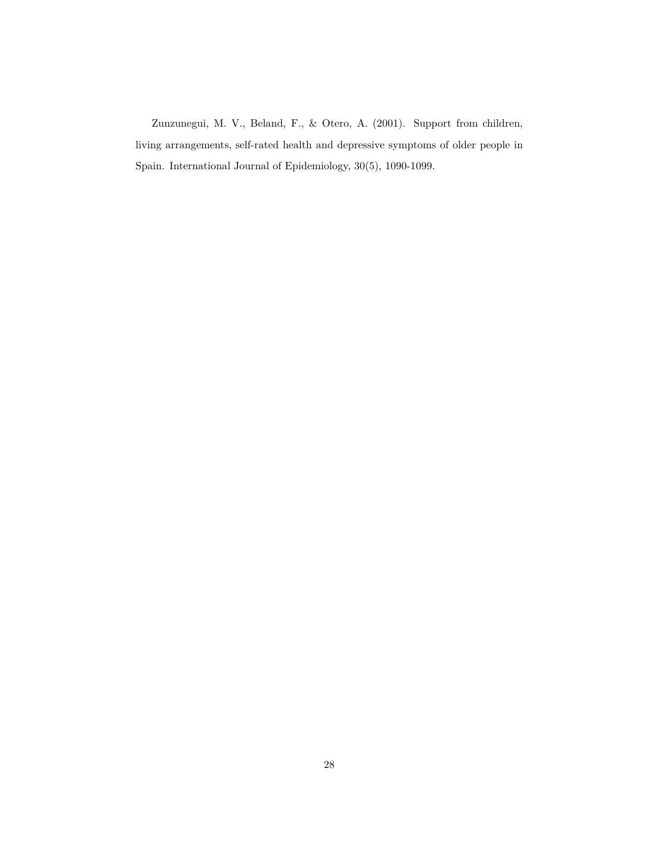Zunzunegui, M. V., Beland, F., & Otero, A. (2001). Support from children, living arrangements, self-rated health and depressive symptoms of older people in Spain. International Journal of Epidemiology, 30(5), 1090-1099.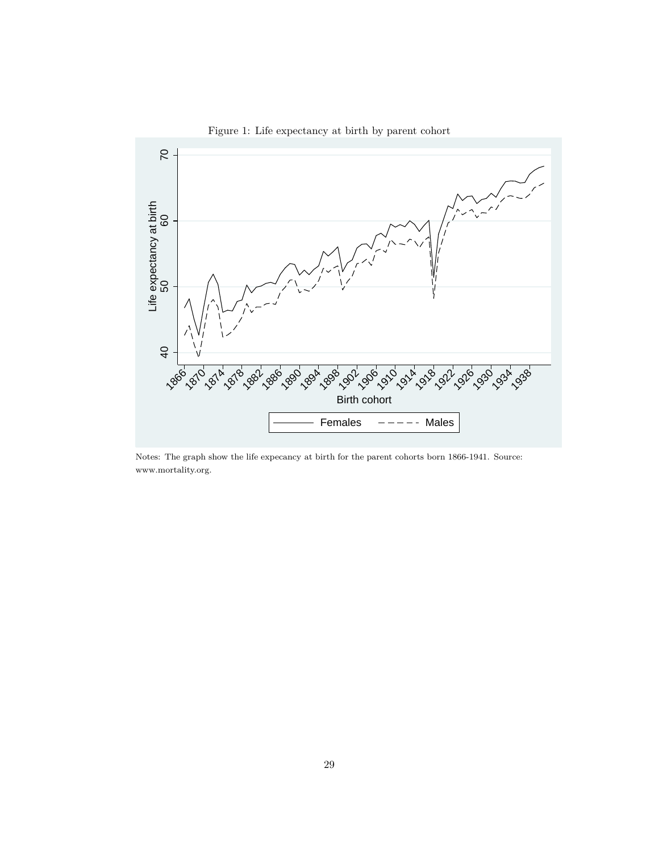

Figure 1: Life expectancy at birth by parent cohort

Notes: The graph show the life expecancy at birth for the parent cohorts born 1866-1941. Source: www.mortality.org.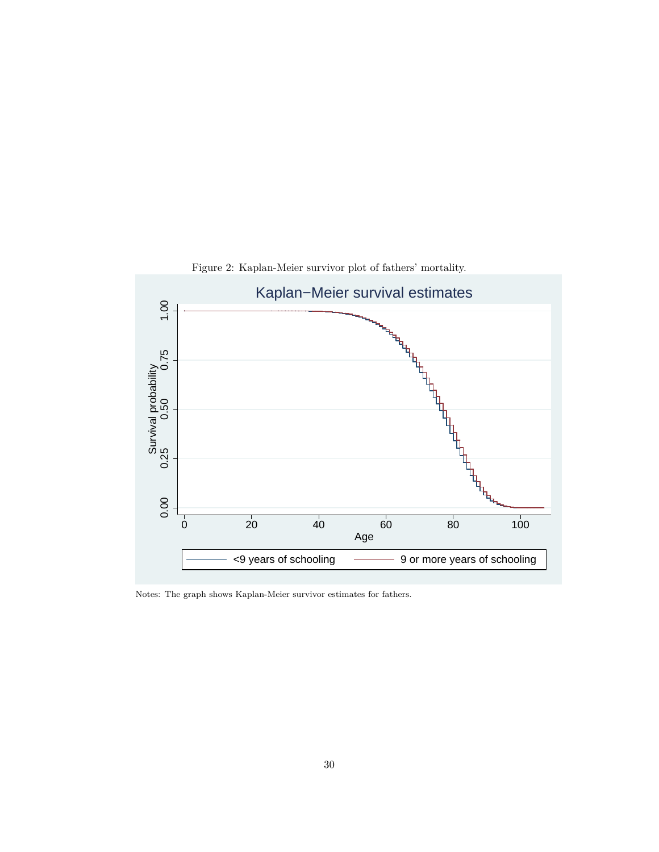

Figure 2: Kaplan-Meier survivor plot of fathers' mortality.

Notes: The graph shows Kaplan-Meier survivor estimates for fathers.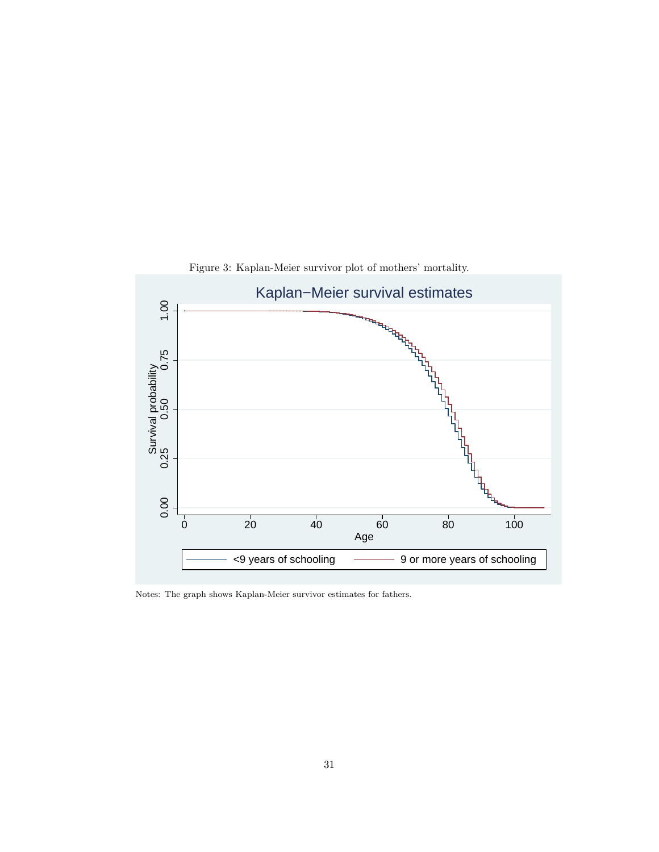

Figure 3: Kaplan-Meier survivor plot of mothers' mortality.

Notes: The graph shows Kaplan-Meier survivor estimates for fathers.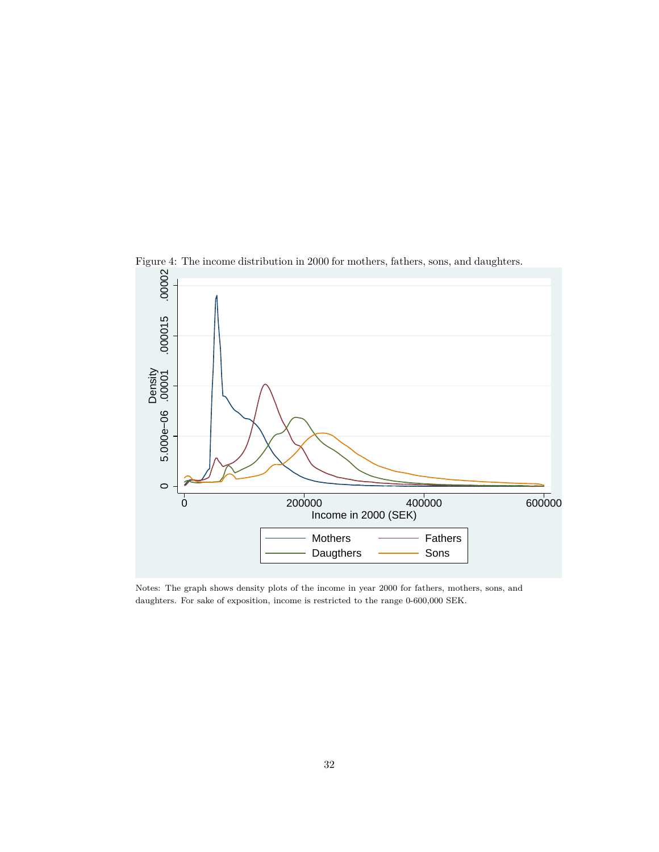

Notes: The graph shows density plots of the income in year 2000 for fathers, mothers, sons, and daughters. For sake of exposition, income is restricted to the range 0-600,000 SEK.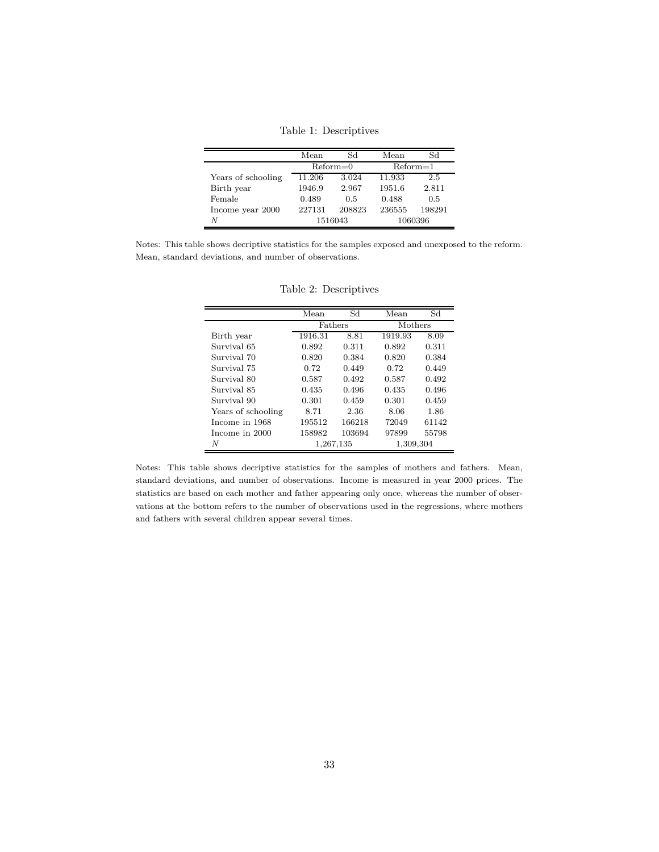Table 1: Descriptives

|                    | Mean   | Sd           | Mean    | Sd         |  |
|--------------------|--------|--------------|---------|------------|--|
|                    |        | $Reform = 0$ |         | $Reform=1$ |  |
| Years of schooling | 11.206 | 3.024        | 11.933  | 2.5        |  |
| Birth year         | 1946.9 | 2.967        | 1951.6  | 2.811      |  |
| Female             | 0.489  | 0.5          | 0.488   | 0.5        |  |
| Income year 2000   | 227131 | 208823       | 236555  | 198291     |  |
| Ν                  |        | 1516043      | 1060396 |            |  |

Notes: This table shows decriptive statistics for the samples exposed and unexposed to the reform. Mean, standard deviations, and number of observations.

|                    | Mean      | Sd     | Mean      | Sd    |  |
|--------------------|-----------|--------|-----------|-------|--|
|                    | Fathers   |        | Mothers   |       |  |
| Birth year         | 1916.31   | 8.81   | 1919.93   | 8.09  |  |
| Survival 65        | 0.892     | 0.311  | 0.892     | 0.311 |  |
| Survival 70        | 0.820     | 0.384  | 0.820     | 0.384 |  |
| Survival 75        | 0.72      | 0.449  | 0.72      | 0.449 |  |
| Survival 80        | 0.587     | 0.492  | 0.587     | 0.492 |  |
| Survival 85        | 0.435     | 0.496  | 0.435     | 0.496 |  |
| Survival 90        | 0.301     | 0.459  | 0.301     | 0.459 |  |
| Years of schooling | 8.71      | 2.36   | 8.06      | 1.86  |  |
| Income in 1968     | 195512    | 166218 | 72049     | 61142 |  |
| Income in 2000     | 158982    | 103694 | 97899     | 55798 |  |
| N                  | 1,267,135 |        | 1,309,304 |       |  |

Table 2: Descriptives

Notes: This table shows decriptive statistics for the samples of mothers and fathers. Mean, standard deviations, and number of observations. Income is measured in year 2000 prices. The statistics are based on each mother and father appearing only once, whereas the number of observations at the bottom refers to the number of observations used in the regressions, where mothers and fathers with several children appear several times.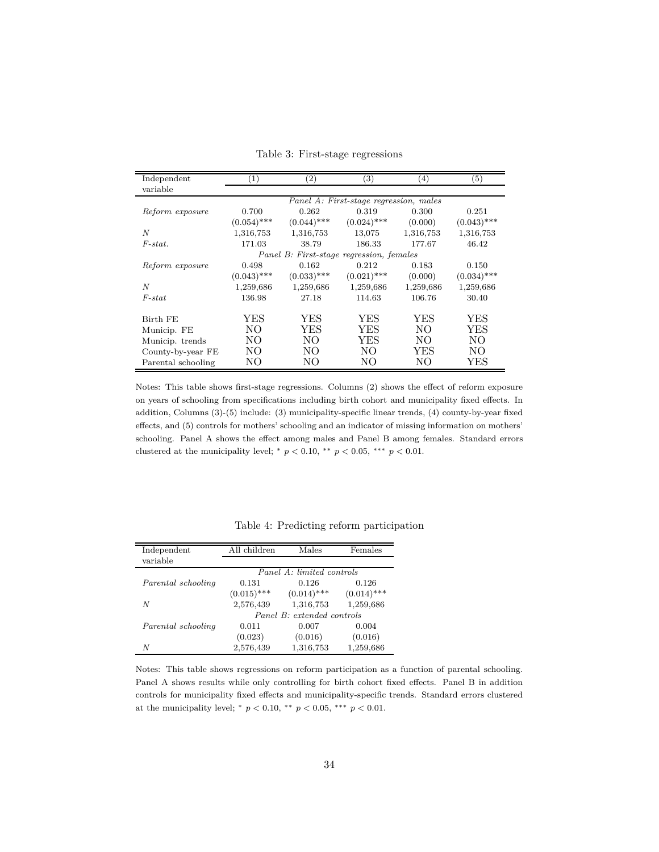| Independent        | (1)                                    | $\left( 2\right)$ | (3)                                      | $\left(4\right)$ | $\left( 5\right)$ |  |  |  |  |
|--------------------|----------------------------------------|-------------------|------------------------------------------|------------------|-------------------|--|--|--|--|
| variable           |                                        |                   |                                          |                  |                   |  |  |  |  |
|                    | Panel A: First-stage regression, males |                   |                                          |                  |                   |  |  |  |  |
| Reform exposure    | 0.700                                  | 0.262             | 0.319                                    | 0.300            | 0.251             |  |  |  |  |
|                    | $(0.054)$ ***                          | $(0.044)$ ***     | $(0.024)$ ***                            | (0.000)          | $(0.043)$ ***     |  |  |  |  |
| N                  | 1,316,753                              | 1,316,753         | 13,075                                   | 1,316,753        | 1,316,753         |  |  |  |  |
| $F-stat.$          | 171.03                                 | 38.79             | 186.33                                   | 177.67           | 46.42             |  |  |  |  |
|                    |                                        |                   | Panel B: First-stage regression, females |                  |                   |  |  |  |  |
| Reform exposure    | 0.498                                  | 0.162             | 0.212                                    | 0.183            | 0.150             |  |  |  |  |
|                    | $(0.043)$ ***                          | $(0.033)$ ***     | $(0.021)$ ***                            | (0.000)          | $(0.034)$ ***     |  |  |  |  |
| N                  | 1,259,686                              | 1,259,686         | 1,259,686                                | 1,259,686        | 1,259,686         |  |  |  |  |
| $F$ -stat          | 136.98                                 | 27.18             | 114.63                                   | 106.76           | 30.40             |  |  |  |  |
|                    |                                        |                   |                                          |                  |                   |  |  |  |  |
| Birth FE           | YES                                    | YES               | <b>YES</b>                               | <b>YES</b>       | YES               |  |  |  |  |
| Municip. FE        | NO.                                    | YES               | <b>YES</b>                               | NO.              | <b>YES</b>        |  |  |  |  |
| Municip. trends    | NO.                                    | NO.               | YES                                      | NO.              | NO.               |  |  |  |  |
| County-by-year FE  | NO.                                    | NO.               | NO.                                      | YES              | NO.               |  |  |  |  |
| Parental schooling | NΟ                                     | NO                | NO                                       | NО               | YES               |  |  |  |  |

Table 3: First-stage regressions

Notes: This table shows first-stage regressions. Columns (2) shows the effect of reform exposure on years of schooling from specifications including birth cohort and municipality fixed effects. In addition, Columns (3)-(5) include: (3) municipality-specific linear trends, (4) county-by-year fixed effects, and (5) controls for mothers' schooling and an indicator of missing information on mothers' schooling. Panel A shows the effect among males and Panel B among females. Standard errors clustered at the municipality level;  $*$   $p < 0.10$ ,  $**$   $p < 0.05$ ,  $***$   $p < 0.01$ .

| Independent        | All children  | Males                      | Females       |
|--------------------|---------------|----------------------------|---------------|
| variable           |               |                            |               |
|                    |               | Panel A: limited controls  |               |
| Parental schooling | 0.131         | 0.126                      | 0.126         |
|                    | $(0.015)$ *** | $(0.014)$ ***              | $(0.014)$ *** |
| N                  | 2,576,439     | 1,316,753                  | 1,259,686     |
|                    |               | Panel B: extended controls |               |
| Parental schooling | 0.011         | 0.007                      | 0.004         |
|                    | (0.023)       | (0.016)                    | (0.016)       |
| N                  | 2,576,439     | 1,316,753                  | 1,259,686     |

Table 4: Predicting reform participation

Notes: This table shows regressions on reform participation as a function of parental schooling. Panel A shows results while only controlling for birth cohort fixed effects. Panel B in addition controls for municipality fixed effects and municipality-specific trends. Standard errors clustered at the municipality level; \*  $p < 0.10,$  \*\*  $p < 0.05,$  \*\*\*  $p < 0.01.$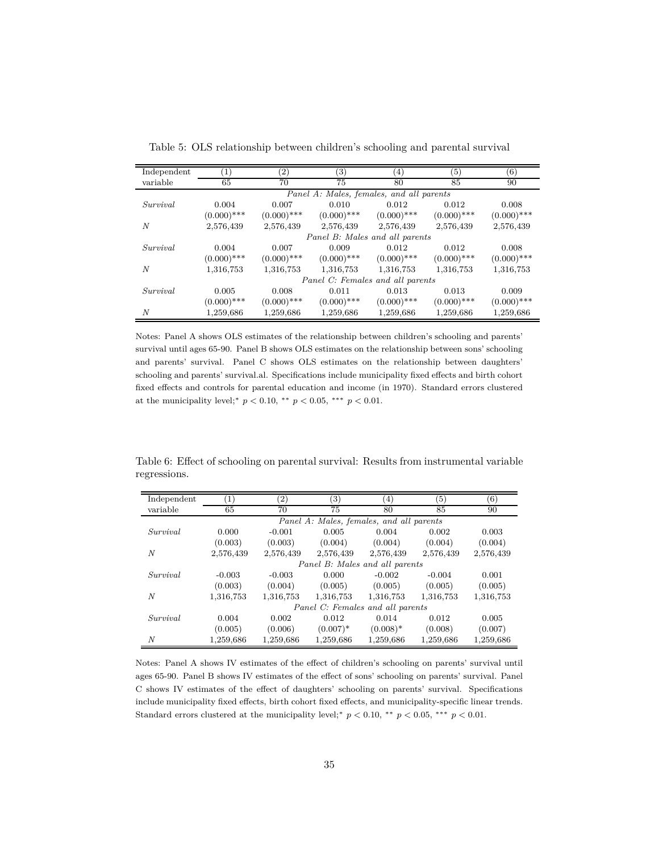| Independent | (1)           | $\left( 2\right)$ | $\left( 3\right)$                        | $\left( 4\right)$ | (5)           | (6)           |
|-------------|---------------|-------------------|------------------------------------------|-------------------|---------------|---------------|
| variable    | 65            | 70                | 75                                       | 80                | 85            | 90            |
|             |               |                   | Panel A: Males, females, and all parents |                   |               |               |
| Survival    | 0.004         | 0.007             | 0.010                                    | 0.012             | 0.012         | 0.008         |
|             | $(0.000)$ *** | $(0.000)$ ***     | $(0.000)$ ***                            | $(0.000)$ ***     | $(0.000)$ *** | $(0.000)$ *** |
| N           | 2,576,439     | 2,576,439         | 2,576,439                                | 2,576,439         | 2,576,439     | 2,576,439     |
|             |               |                   | Panel B: Males and all parents           |                   |               |               |
| Survival    | 0.004         | 0.007             | 0.009                                    | 0.012             | 0.012         | 0.008         |
|             | $(0.000)$ *** | $(0.000)$ ***     | $(0.000)$ ***                            | $(0.000)$ ***     | $(0.000)$ *** | $(0.000)$ *** |
| N           | 1,316,753     | 1,316,753         | 1,316,753                                | 1,316,753         | 1,316,753     | 1,316,753     |
|             |               |                   | Panel C: Females and all parents         |                   |               |               |
| Survival    | 0.005         | 0.008             | 0.011                                    | 0.013             | 0.013         | 0.009         |
|             | $(0.000)$ *** | $(0.000)$ ***     | $(0.000)$ ***                            | $(0.000)$ ***     | $(0.000)$ *** | $(0.000)$ *** |
| N           | 1,259,686     | 1,259,686         | 1,259,686                                | 1,259,686         | 1,259,686     | 1,259,686     |

Table 5: OLS relationship between children's schooling and parental survival

Notes: Panel A shows OLS estimates of the relationship between children's schooling and parents' survival until ages 65-90. Panel B shows OLS estimates on the relationship between sons' schooling and parents' survival. Panel C shows OLS estimates on the relationship between daughters' schooling and parents' survival.al. Specifications include municipality fixed effects and birth cohort fixed effects and controls for parental education and income (in 1970). Standard errors clustered at the municipality level;\*  $p < 0.10$ , \*\*  $p < 0.05$ , \*\*\*  $p < 0.01$ .

|              |  |  | Table 6: Effect of schooling on parental survival: Results from instrumental variable |  |
|--------------|--|--|---------------------------------------------------------------------------------------|--|
| regressions. |  |  |                                                                                       |  |

| Independent      |           | $\left( 2\right)$ | 3)                                       | $\left(4\right)$ | (5)       | $\left(6\right)$ |
|------------------|-----------|-------------------|------------------------------------------|------------------|-----------|------------------|
| variable         | 65        | 70                | 75                                       | 80               | 85        | 90               |
|                  |           |                   | Panel A: Males, females, and all parents |                  |           |                  |
| Survival         | 0.000     | $-0.001$          | 0.005                                    | 0.004            | 0.002     | 0.003            |
|                  | (0.003)   | (0.003)           | (0.004)                                  | (0.004)          | (0.004)   | (0.004)          |
| $\boldsymbol{N}$ | 2,576,439 | 2,576,439         | 2,576,439                                | 2,576,439        | 2,576,439 | 2,576,439        |
|                  |           |                   | Panel B: Males and all parents           |                  |           |                  |
| Survival         | $-0.003$  | $-0.003$          | 0.000                                    | $-0.002$         | $-0.004$  | 0.001            |
|                  | (0.003)   | (0.004)           | (0.005)                                  | (0.005)          | (0.005)   | (0.005)          |
| N                | 1,316,753 | 1,316,753         | 1,316,753                                | 1,316,753        | 1,316,753 | 1,316,753        |
|                  |           |                   | Panel C: Females and all parents         |                  |           |                  |
| Survival         | 0.004     | 0.002             | 0.012                                    | 0.014            | 0.012     | 0.005            |
|                  | (0.005)   | (0.006)           | $(0.007)^*$                              | $(0.008)*$       | (0.008)   | (0.007)          |
| N                | 1,259,686 | 1,259,686         | 1,259,686                                | 1,259,686        | 1,259,686 | 1,259,686        |

Notes: Panel A shows IV estimates of the effect of children's schooling on parents' survival until ages 65-90. Panel B shows IV estimates of the effect of sons' schooling on parents' survival. Panel C shows IV estimates of the effect of daughters' schooling on parents' survival. Specifications include municipality fixed effects, birth cohort fixed effects, and municipality-specific linear trends. Standard errors clustered at the municipality level;\*  $p < 0.10$ , \*\*  $p < 0.05$ , \*\*\*  $p < 0.01$ .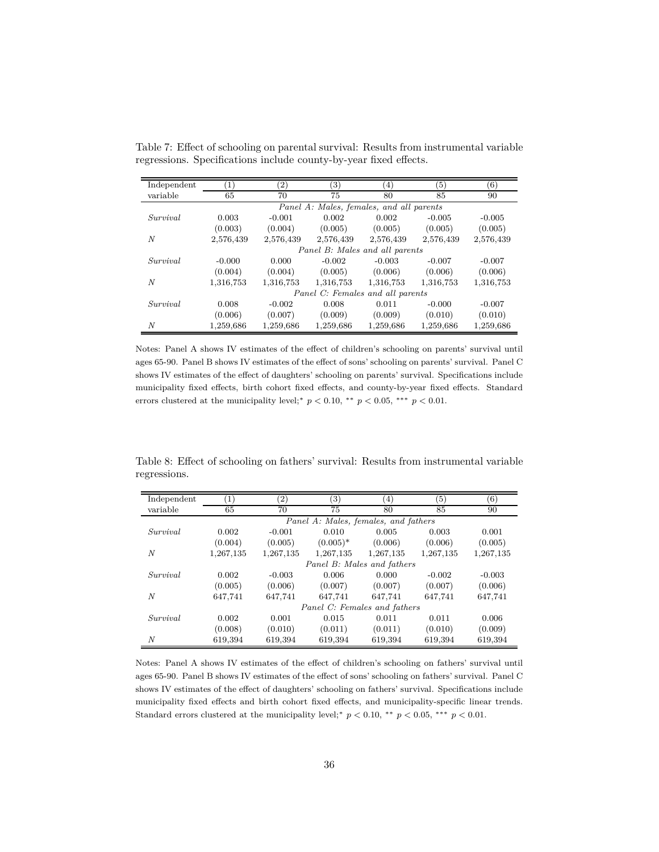| Independent | $\left(1\right)$ | $\left( 2\right)$ | $\left( 3\right)$ | (4)                                      | (5)       | (6)       |
|-------------|------------------|-------------------|-------------------|------------------------------------------|-----------|-----------|
| variable    | 65               | 70                | 75                | 80                                       | 85        | 90        |
|             |                  |                   |                   | Panel A: Males, females, and all parents |           |           |
| Survival    | 0.003            | $-0.001$          | 0.002             | 0.002                                    | $-0.005$  | $-0.005$  |
|             | (0.003)          | (0.004)           | (0.005)           | (0.005)                                  | (0.005)   | (0.005)   |
| N           | 2,576,439        | 2,576,439         | 2,576,439         | 2,576,439                                | 2,576,439 | 2,576,439 |
|             |                  |                   |                   | Panel B: Males and all parents           |           |           |
| Survival    | $-0.000$         | 0.000             | $-0.002$          | $-0.003$                                 | $-0.007$  | $-0.007$  |
|             | (0.004)          | (0.004)           | (0.005)           | (0.006)                                  | (0.006)   | (0.006)   |
| N           | 1,316,753        | 1,316,753         | 1,316,753         | 1,316,753                                | 1,316,753 | 1,316,753 |
|             |                  |                   |                   | Panel C: Females and all parents         |           |           |
| Survival    | 0.008            | $-0.002$          | 0.008             | 0.011                                    | $-0.000$  | $-0.007$  |
|             | (0.006)          | (0.007)           | (0.009)           | (0.009)                                  | (0.010)   | (0.010)   |
| N           | 1,259,686        | 1,259,686         | 1,259,686         | 1,259,686                                | 1,259,686 | 1,259,686 |

Table 7: Effect of schooling on parental survival: Results from instrumental variable regressions. Specifications include county-by-year fixed effects.

Notes: Panel A shows IV estimates of the effect of children's schooling on parents' survival until ages 65-90. Panel B shows IV estimates of the effect of sons' schooling on parents' survival. Panel C shows IV estimates of the effect of daughters' schooling on parents' survival. Specifications include municipality fixed effects, birth cohort fixed effects, and county-by-year fixed effects. Standard errors clustered at the municipality level;<sup>\*</sup>  $p < 0.10$ , \*\*  $p < 0.05$ , \*\*\*  $p < 0.01$ .

Table 8: Effect of schooling on fathers' survival: Results from instrumental variable regressions.

| Independent |           | $\left( 2\right)$ | 3)                                   | $\left( 4\right)$ | $\left(5\right)$ | (6)       |
|-------------|-----------|-------------------|--------------------------------------|-------------------|------------------|-----------|
| variable    | 65        | 70                | 75                                   | 80                | 85               | 90        |
|             |           |                   | Panel A: Males, females, and fathers |                   |                  |           |
| Survival    | 0.002     | $-0.001$          | 0.010                                | 0.005             | 0.003            | 0.001     |
|             | (0.004)   | (0.005)           | $(0.005)^*$                          | (0.006)           | (0.006)          | (0.005)   |
| N           | 1,267,135 | 1,267,135         | 1,267,135                            | 1,267,135         | 1,267,135        | 1,267,135 |
|             |           |                   | Panel B: Males and fathers           |                   |                  |           |
| Survival    | 0.002     | $-0.003$          | 0.006                                | 0.000             | $-0.002$         | $-0.003$  |
|             | (0.005)   | (0.006)           | (0.007)                              | (0.007)           | (0.007)          | (0.006)   |
| N           | 647,741   | 647,741           | 647,741                              | 647,741           | 647,741          | 647,741   |
|             |           |                   | Panel C: Females and fathers         |                   |                  |           |
| Survival    | 0.002     | 0.001             | 0.015                                | 0.011             | 0.011            | 0.006     |
|             | (0.008)   | (0.010)           | (0.011)                              | (0.011)           | (0.010)          | (0.009)   |
| N           | 619,394   | 619,394           | 619,394                              | 619,394           | 619,394          | 619,394   |

Notes: Panel A shows IV estimates of the effect of children's schooling on fathers' survival until ages 65-90. Panel B shows IV estimates of the effect of sons' schooling on fathers' survival. Panel C shows IV estimates of the effect of daughters' schooling on fathers' survival. Specifications include municipality fixed effects and birth cohort fixed effects, and municipality-specific linear trends. Standard errors clustered at the municipality level;<sup>\*</sup>  $p < 0.10$ , <sup>\*\*</sup>  $p < 0.05$ , \*\*\*  $p < 0.01$ .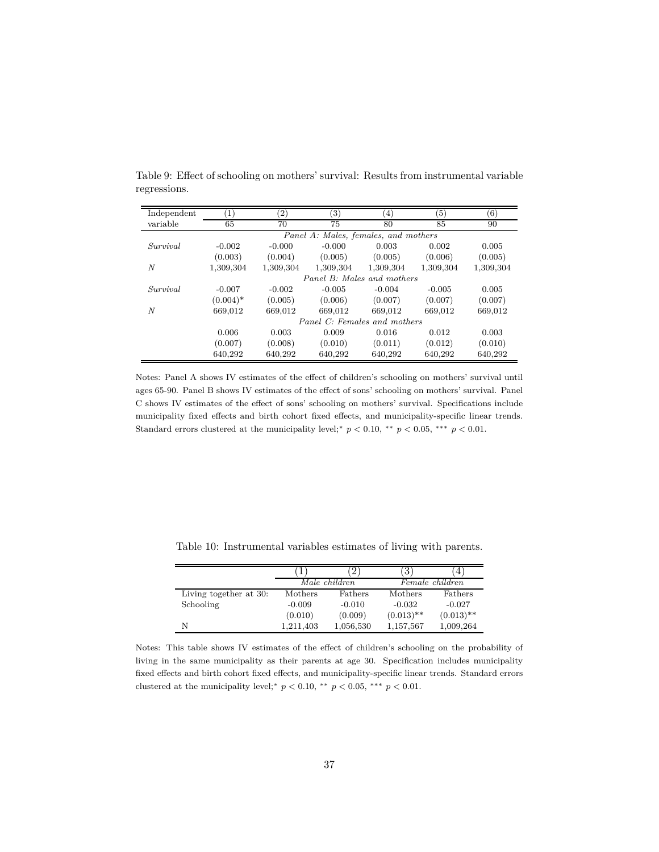| Independent      | $\left( \frac{1}{2} \right)$ | $\left( 2\right)$ | $\left( 3\right)$ | $\left(4\right)$                     | $\left(5\right)$ | (6)       |
|------------------|------------------------------|-------------------|-------------------|--------------------------------------|------------------|-----------|
| variable         | 65                           | 70                | 75                | 80                                   | 85               | 90        |
|                  |                              |                   |                   | Panel A: Males, females, and mothers |                  |           |
| Survival         | $-0.002$                     | $-0.000$          | $-0.000$          | 0.003                                | 0.002            | 0.005     |
|                  | (0.003)                      | (0.004)           | (0.005)           | (0.005)                              | (0.006)          | (0.005)   |
| $\boldsymbol{N}$ | 1,309,304                    | 1,309,304         | 1,309,304         | 1,309,304                            | 1,309,304        | 1,309,304 |
|                  |                              |                   |                   | Panel B: Males and mothers           |                  |           |
| Survival         | $-0.007$                     | $-0.002$          | $-0.005$          | $-0.004$                             | $-0.005$         | 0.005     |
|                  | $(0.004)^*$                  | (0.005)           | (0.006)           | (0.007)                              | (0.007)          | (0.007)   |
| $\boldsymbol{N}$ | 669.012                      | 669,012           | 669.012           | 669.012                              | 669.012          | 669,012   |
|                  |                              |                   |                   | Panel C: Females and mothers         |                  |           |
|                  | 0.006                        | 0.003             | 0.009             | 0.016                                | 0.012            | 0.003     |
|                  | (0.007)                      | (0.008)           | (0.010)           | (0.011)                              | (0.012)          | (0.010)   |
|                  | 640.292                      | 640.292           | 640.292           | 640,292                              | 640.292          | 640,292   |

Table 9: Effect of schooling on mothers' survival: Results from instrumental variable regressions.

Notes: Panel A shows IV estimates of the effect of children's schooling on mothers' survival until ages 65-90. Panel B shows IV estimates of the effect of sons' schooling on mothers' survival. Panel C shows IV estimates of the effect of sons' schooling on mothers' survival. Specifications include municipality fixed effects and birth cohort fixed effects, and municipality-specific linear trends. Standard errors clustered at the municipality level;<sup>\*</sup>  $p < 0.10$ , \*\*  $p < 0.05$ , \*\*\*  $p < 0.01$ .

|                        |           |               | З.             |                 |
|------------------------|-----------|---------------|----------------|-----------------|
|                        |           | Male children |                | Female children |
| Living together at 30: | Mothers   | Fathers       | <b>Mothers</b> | Fathers         |
| Schooling              | $-0.009$  | $-0.010$      | $-0.032$       | $-0.027$        |
|                        | (0.010)   | (0.009)       | $(0.013)$ **   | $(0.013)$ **    |
| N                      | 1,211,403 | 1,056,530     | 1,157,567      | 1,009,264       |

Table 10: Instrumental variables estimates of living with parents.

Notes: This table shows IV estimates of the effect of children's schooling on the probability of living in the same municipality as their parents at age 30. Specification includes municipality fixed effects and birth cohort fixed effects, and municipality-specific linear trends. Standard errors clustered at the municipality level;<sup>\*</sup>  $p < 0.10$ , \*\*  $p < 0.05$ , \*\*\*  $p < 0.01$ .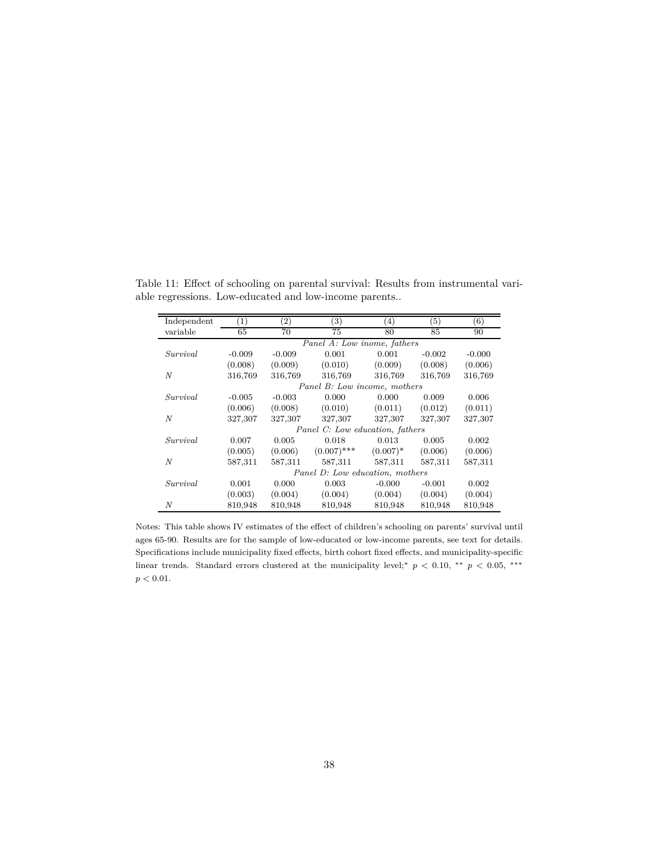| Independent | $\left(1\right)$ | $\left( 2\right)$ | $\left( 3\right)$               | $\left(4\right)$ | (5)      | (6)      |
|-------------|------------------|-------------------|---------------------------------|------------------|----------|----------|
| variable    | 65               | 70                | 75                              | 80               | 85       | 90       |
|             |                  |                   | Panel A: Low inome, fathers     |                  |          |          |
| Survival    | $-0.009$         | $-0.009$          | 0.001                           | 0.001            | $-0.002$ | $-0.000$ |
|             | (0.008)          | (0.009)           | (0.010)                         | (0.009)          | (0.008)  | (0.006)  |
| N           | 316,769          | 316,769           | 316,769                         | 316,769          | 316,769  | 316,769  |
|             |                  |                   | Panel B: Low income, mothers    |                  |          |          |
| Survival    | $-0.005$         | $-0.003$          | 0.000                           | 0.000            | 0.009    | 0.006    |
|             | (0.006)          | (0.008)           | (0.010)                         | (0.011)          | (0.012)  | (0.011)  |
| N           | 327,307          | 327,307           | 327,307                         | 327,307          | 327,307  | 327,307  |
|             |                  |                   | Panel C: Low education, fathers |                  |          |          |
| Survival    | 0.007            | 0.005             | 0.018                           | 0.013            | 0.005    | 0.002    |
|             | (0.005)          | (0.006)           | $(0.007)$ ***                   | $(0.007)^*$      | (0.006)  | (0.006)  |
| N           | 587,311          | 587,311           | 587,311                         | 587,311          | 587,311  | 587,311  |
|             |                  |                   | Panel D: Low education, mothers |                  |          |          |
| Survival    | 0.001            | 0.000             | 0.003                           | $-0.000$         | $-0.001$ | 0.002    |
|             | (0.003)          | (0.004)           | (0.004)                         | (0.004)          | (0.004)  | (0.004)  |
| N           | 810,948          | 810,948           | 810,948                         | 810,948          | 810,948  | 810,948  |

Table 11: Effect of schooling on parental survival: Results from instrumental variable regressions. Low-educated and low-income parents..

Notes: This table shows IV estimates of the effect of children's schooling on parents' survival until ages 65-90. Results are for the sample of low-educated or low-income parents, see text for details. Specifications include municipality fixed effects, birth cohort fixed effects, and municipality-specific linear trends. Standard errors clustered at the municipality level;<sup>∗</sup> *p <* 0*.*10, ∗∗ *p <* 0*.*05, ∗∗∗  $p < 0.01$ .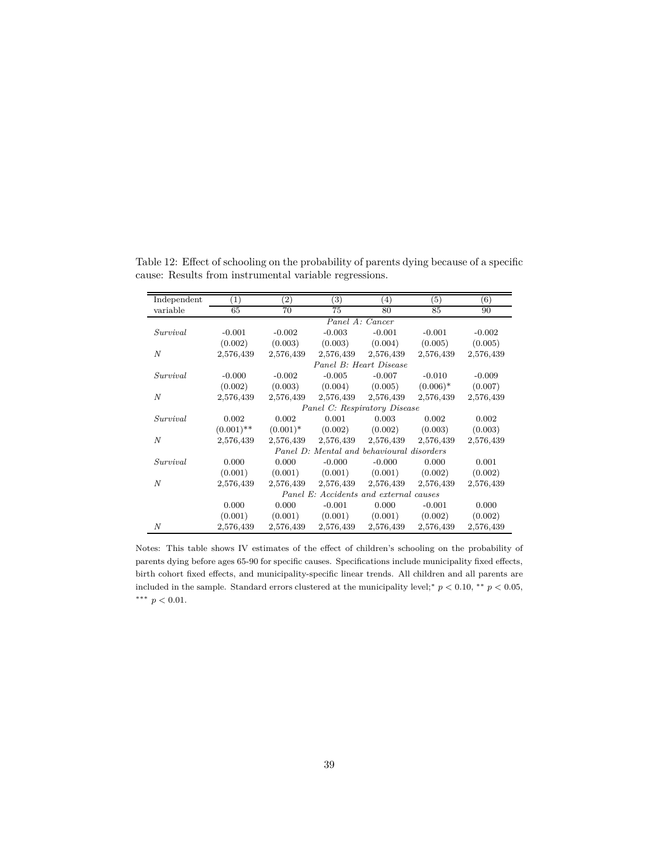| Independent      | $\scriptstyle{(1)}$                       | $\left( 2\right)$ | (3)       | $\left( 4\right)$ | $\left( 5\right)$ | (6)       |  |
|------------------|-------------------------------------------|-------------------|-----------|-------------------|-------------------|-----------|--|
| variable         | 65                                        | 70                | 75        | 80                | 85                | 90        |  |
|                  | Panel A: Cancer                           |                   |           |                   |                   |           |  |
| Survival         | $-0.001$                                  | $-0.002$          | $-0.003$  | $-0.001$          | $-0.001$          | $-0.002$  |  |
|                  | (0.002)                                   | (0.003)           | (0.003)   | (0.004)           | (0.005)           | (0.005)   |  |
| $\boldsymbol{N}$ | 2,576,439                                 | 2,576,439         | 2,576,439 | 2,576,439         | 2,576,439         | 2,576,439 |  |
|                  | Panel B: Heart Disease                    |                   |           |                   |                   |           |  |
| Survival         | $-0.000$                                  | $-0.002$          | $-0.005$  | $-0.007$          | $-0.010$          | $-0.009$  |  |
|                  | (0.002)                                   | (0.003)           | (0.004)   | (0.005)           | $(0.006)^*$       | (0.007)   |  |
| N                | 2,576,439                                 | 2,576,439         | 2,576,439 | 2,576,439         | 2,576,439         | 2,576,439 |  |
|                  | Panel C: Respiratory Disease              |                   |           |                   |                   |           |  |
| Survival         | 0.002                                     | 0.002             | 0.001     | 0.003             | 0.002             | 0.002     |  |
|                  | $(0.001)$ **                              | $(0.001)^*$       | (0.002)   | (0.002)           | (0.003)           | (0.003)   |  |
| $\boldsymbol{N}$ | 2,576,439                                 | 2,576,439         | 2,576,439 | 2,576,439         | 2,576,439         | 2,576,439 |  |
|                  | Panel D: Mental and behavioural disorders |                   |           |                   |                   |           |  |
| Survival         | 0.000                                     | 0.000             | $-0.000$  | $-0.000$          | 0.000             | 0.001     |  |
|                  | (0.001)                                   | (0.001)           | (0.001)   | (0.001)           | (0.002)           | (0.002)   |  |
| N                | 2,576,439                                 | 2,576,439         | 2,576,439 | 2,576,439         | 2,576,439         | 2,576,439 |  |
|                  | Panel E: Accidents and external causes    |                   |           |                   |                   |           |  |
|                  | 0.000                                     | 0.000             | $-0.001$  | 0.000             | $-0.001$          | 0.000     |  |
|                  | (0.001)                                   | (0.001)           | (0.001)   | (0.001)           | (0.002)           | (0.002)   |  |
| N                | 2,576,439                                 | 2,576,439         | 2,576,439 | 2,576,439         | 2,576,439         | 2,576,439 |  |

Table 12: Effect of schooling on the probability of parents dying because of a specific cause: Results from instrumental variable regressions.

Notes: This table shows IV estimates of the effect of children's schooling on the probability of parents dying before ages 65-90 for specific causes. Specifications include municipality fixed effects, birth cohort fixed effects, and municipality-specific linear trends. All children and all parents are included in the sample. Standard errors clustered at the municipality level;<sup>∗</sup>  $p < 0.10$ , <sup>\*\*</sup>  $p < 0.05$ , ∗∗∗ *p <* 0*.*01.